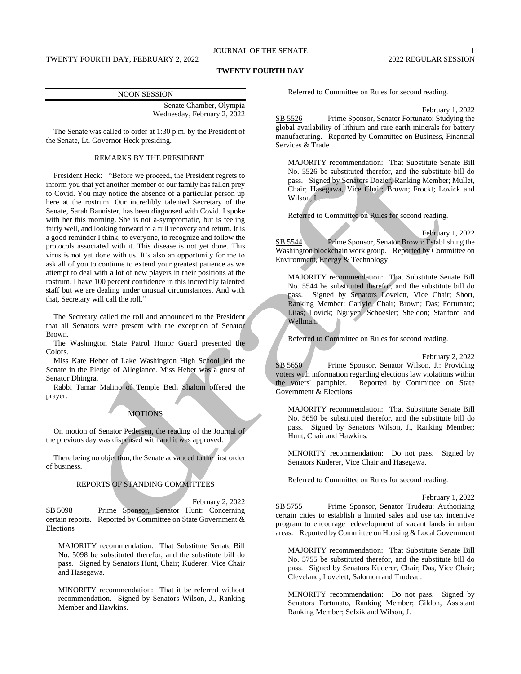## **TWENTY FOURTH DAY**

| <b>NOON SESSION</b>         |
|-----------------------------|
| Senate Chamber, Olympia     |
| Wednesday, February 2, 2022 |
|                             |

The Senate was called to order at 1:30 p.m. by the President of the Senate, Lt. Governor Heck presiding.

## REMARKS BY THE PRESIDENT

President Heck: "Before we proceed, the President regrets to inform you that yet another member of our family has fallen prey to Covid. You may notice the absence of a particular person up here at the rostrum. Our incredibly talented Secretary of the Senate, Sarah Bannister, has been diagnosed with Covid. I spoke with her this morning. She is not a-symptomatic, but is feeling fairly well, and looking forward to a full recovery and return. It is a good reminder I think, to everyone, to recognize and follow the protocols associated with it. This disease is not yet done. This virus is not yet done with us. It's also an opportunity for me to ask all of you to continue to extend your greatest patience as we attempt to deal with a lot of new players in their positions at the rostrum. I have 100 percent confidence in this incredibly talented staff but we are dealing under unusual circumstances. And with that, Secretary will call the roll."

The Secretary called the roll and announced to the President that all Senators were present with the exception of Senator Brown.

The Washington State Patrol Honor Guard presented the Colors.

Miss Kate Heber of Lake Washington High School led the Senate in the Pledge of Allegiance. Miss Heber was a guest of Senator Dhingra.

Rabbi Tamar Malino of Temple Beth Shalom offered the prayer.

## **MOTIONS**

On motion of Senator Pedersen, the reading of the Journal of the previous day was dispensed with and it was approved.

There being no objection, the Senate advanced to the first order of business.

# REPORTS OF STANDING COMMITTEES

#### February 2, 2022

SB 5098 Prime Sponsor, Senator Hunt: Concerning certain reports. Reported by Committee on State Government & Elections

MAJORITY recommendation: That Substitute Senate Bill No. 5098 be substituted therefor, and the substitute bill do pass. Signed by Senators Hunt, Chair; Kuderer, Vice Chair and Hasegawa.

MINORITY recommendation: That it be referred without recommendation. Signed by Senators Wilson, J., Ranking Member and Hawkins.

Referred to Committee on Rules for second reading.

February 1, 2022

SB 5526 Prime Sponsor, Senator Fortunato: Studying the global availability of lithium and rare earth minerals for battery manufacturing. Reported by Committee on Business, Financial Services & Trade

MAJORITY recommendation: That Substitute Senate Bill No. 5526 be substituted therefor, and the substitute bill do pass. Signed by Senators Dozier, Ranking Member; Mullet, Chair; Hasegawa, Vice Chair; Brown; Frockt; Lovick and Wilson, L.

Referred to Committee on Rules for second reading.

February 1, 2022 SB 5544 Prime Sponsor, Senator Brown: Establishing the Washington blockchain work group. Reported by Committee on Environment, Energy & Technology

MAJORITY recommendation: That Substitute Senate Bill No. 5544 be substituted therefor, and the substitute bill do pass. Signed by Senators Lovelett, Vice Chair; Short, Ranking Member; Carlyle, Chair; Brown; Das; Fortunato; Liias; Lovick; Nguyen; Schoesler; Sheldon; Stanford and Wellman.

Referred to Committee on Rules for second reading.

February 2, 2022 SB 5650 Prime Sponsor, Senator Wilson, J.: Providing voters with information regarding elections law violations within<br>the voters' pamphlet. Reported by Committee on State Reported by Committee on State Government & Elections

MAJORITY recommendation: That Substitute Senate Bill No. 5650 be substituted therefor, and the substitute bill do pass. Signed by Senators Wilson, J., Ranking Member; Hunt, Chair and Hawkins.

MINORITY recommendation: Do not pass. Signed by Senators Kuderer, Vice Chair and Hasegawa.

Referred to Committee on Rules for second reading.

#### February 1, 2022

SB 5755 Prime Sponsor, Senator Trudeau: Authorizing certain cities to establish a limited sales and use tax incentive program to encourage redevelopment of vacant lands in urban areas. Reported by Committee on Housing & Local Government

MAJORITY recommendation: That Substitute Senate Bill No. 5755 be substituted therefor, and the substitute bill do pass. Signed by Senators Kuderer, Chair; Das, Vice Chair; Cleveland; Lovelett; Salomon and Trudeau.

MINORITY recommendation: Do not pass. Signed by Senators Fortunato, Ranking Member; Gildon, Assistant Ranking Member; Sefzik and Wilson, J.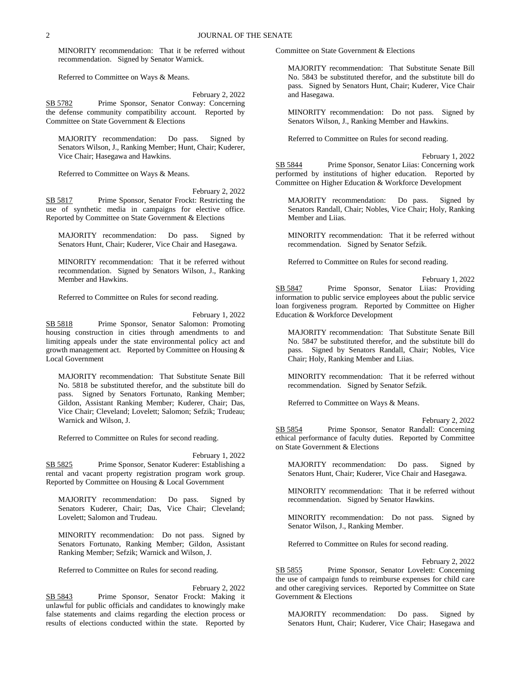MINORITY recommendation: That it be referred without recommendation. Signed by Senator Warnick.

Referred to Committee on Ways & Means.

February 2, 2022 SB 5782 Prime Sponsor, Senator Conway: Concerning the defense community compatibility account. Reported by Committee on State Government & Elections

MAJORITY recommendation: Do pass. Signed by Senators Wilson, J., Ranking Member; Hunt, Chair; Kuderer, Vice Chair; Hasegawa and Hawkins.

Referred to Committee on Ways & Means.

February 2, 2022

SB 5817 Prime Sponsor, Senator Frockt: Restricting the use of synthetic media in campaigns for elective office. Reported by Committee on State Government & Elections

MAJORITY recommendation: Do pass. Signed by Senators Hunt, Chair; Kuderer, Vice Chair and Hasegawa.

MINORITY recommendation: That it be referred without recommendation. Signed by Senators Wilson, J., Ranking Member and Hawkins.

Referred to Committee on Rules for second reading.

February 1, 2022

SB 5818 Prime Sponsor, Senator Salomon: Promoting housing construction in cities through amendments to and limiting appeals under the state environmental policy act and growth management act. Reported by Committee on Housing & Local Government

MAJORITY recommendation: That Substitute Senate Bill No. 5818 be substituted therefor, and the substitute bill do pass. Signed by Senators Fortunato, Ranking Member; Gildon, Assistant Ranking Member; Kuderer, Chair; Das, Vice Chair; Cleveland; Lovelett; Salomon; Sefzik; Trudeau; Warnick and Wilson, J.

Referred to Committee on Rules for second reading.

February 1, 2022 SB 5825 Prime Sponsor, Senator Kuderer: Establishing a rental and vacant property registration program work group. Reported by Committee on Housing & Local Government

MAJORITY recommendation: Do pass. Signed by Senators Kuderer, Chair; Das, Vice Chair; Cleveland; Lovelett; Salomon and Trudeau.

MINORITY recommendation: Do not pass. Signed by Senators Fortunato, Ranking Member; Gildon, Assistant Ranking Member; Sefzik; Warnick and Wilson, J.

Referred to Committee on Rules for second reading.

## February 2, 2022

SB 5843 Prime Sponsor, Senator Frockt: Making it unlawful for public officials and candidates to knowingly make false statements and claims regarding the election process or results of elections conducted within the state. Reported by Committee on State Government & Elections

MAJORITY recommendation: That Substitute Senate Bill No. 5843 be substituted therefor, and the substitute bill do pass. Signed by Senators Hunt, Chair; Kuderer, Vice Chair and Hasegawa.

MINORITY recommendation: Do not pass. Signed by Senators Wilson, J., Ranking Member and Hawkins.

Referred to Committee on Rules for second reading.

February 1, 2022

SB 5844 Prime Sponsor, Senator Liias: Concerning work performed by institutions of higher education. Reported by Committee on Higher Education & Workforce Development

MAJORITY recommendation: Do pass. Signed by Senators Randall, Chair; Nobles, Vice Chair; Holy, Ranking Member and Liias.

MINORITY recommendation: That it be referred without recommendation. Signed by Senator Sefzik.

Referred to Committee on Rules for second reading.

February 1, 2022 SB 5847 Prime Sponsor, Senator Liias: Providing information to public service employees about the public service loan forgiveness program. Reported by Committee on Higher Education & Workforce Development

MAJORITY recommendation: That Substitute Senate Bill No. 5847 be substituted therefor, and the substitute bill do pass. Signed by Senators Randall, Chair; Nobles, Vice Chair; Holy, Ranking Member and Liias.

MINORITY recommendation: That it be referred without recommendation. Signed by Senator Sefzik.

Referred to Committee on Ways & Means.

February 2, 2022

SB 5854 Prime Sponsor, Senator Randall: Concerning ethical performance of faculty duties. Reported by Committee on State Government & Elections

MAJORITY recommendation: Do pass. Signed by Senators Hunt, Chair; Kuderer, Vice Chair and Hasegawa.

MINORITY recommendation: That it be referred without recommendation. Signed by Senator Hawkins.

MINORITY recommendation: Do not pass. Signed by Senator Wilson, J., Ranking Member.

Referred to Committee on Rules for second reading.

February 2, 2022

SB 5855 Prime Sponsor, Senator Lovelett: Concerning the use of campaign funds to reimburse expenses for child care and other caregiving services. Reported by Committee on State Government & Elections

MAJORITY recommendation: Do pass. Signed by Senators Hunt, Chair; Kuderer, Vice Chair; Hasegawa and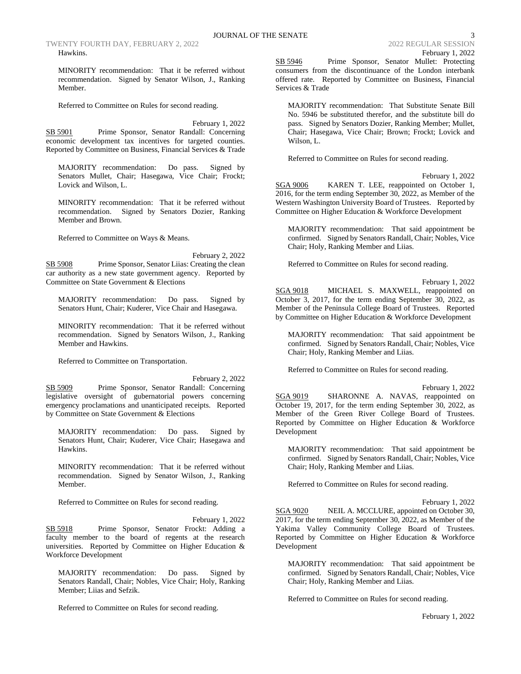TWENTY FOURTH DAY, FEBRUARY 2, 2022 2022 2022 2022 2022 REGULAR SESSION Hawkins.

MINORITY recommendation: That it be referred without recommendation. Signed by Senator Wilson, J., Ranking Member.

Referred to Committee on Rules for second reading.

February 1, 2022 SB 5901 Prime Sponsor, Senator Randall: Concerning economic development tax incentives for targeted counties. Reported by Committee on Business, Financial Services & Trade

MAJORITY recommendation: Do pass. Signed by Senators Mullet, Chair; Hasegawa, Vice Chair; Frockt; Lovick and Wilson, L.

MINORITY recommendation: That it be referred without recommendation. Signed by Senators Dozier, Ranking Member and Brown.

Referred to Committee on Ways & Means.

February 2, 2022 SB 5908 Prime Sponsor, Senator Liias: Creating the clean car authority as a new state government agency. Reported by Committee on State Government & Elections

MAJORITY recommendation: Do pass. Signed by Senators Hunt, Chair; Kuderer, Vice Chair and Hasegawa.

MINORITY recommendation: That it be referred without recommendation. Signed by Senators Wilson, J., Ranking Member and Hawkins.

Referred to Committee on Transportation.

February 2, 2022 SB 5909 Prime Sponsor, Senator Randall: Concerning legislative oversight of gubernatorial powers concerning emergency proclamations and unanticipated receipts. Reported by Committee on State Government & Elections

MAJORITY recommendation: Do pass. Signed by Senators Hunt, Chair; Kuderer, Vice Chair; Hasegawa and Hawkins.

MINORITY recommendation: That it be referred without recommendation. Signed by Senator Wilson, J., Ranking Member.

Referred to Committee on Rules for second reading.

February 1, 2022 SB 5918 Prime Sponsor, Senator Frockt: Adding a faculty member to the board of regents at the research universities. Reported by Committee on Higher Education & Workforce Development

MAJORITY recommendation: Do pass. Signed by Senators Randall, Chair; Nobles, Vice Chair; Holy, Ranking Member; Liias and Sefzik.

Referred to Committee on Rules for second reading.

SB 5946 Prime Sponsor, Senator Mullet: Protecting consumers from the discontinuance of the London interbank offered rate. Reported by Committee on Business, Financial Services & Trade

MAJORITY recommendation: That Substitute Senate Bill No. 5946 be substituted therefor, and the substitute bill do pass. Signed by Senators Dozier, Ranking Member; Mullet, Chair; Hasegawa, Vice Chair; Brown; Frockt; Lovick and Wilson, L.

Referred to Committee on Rules for second reading.

February 1, 2022

SGA 9006 KAREN T. LEE, reappointed on October 1, 2016, for the term ending September 30, 2022, as Member of the Western Washington University Board of Trustees. Reported by Committee on Higher Education & Workforce Development

MAJORITY recommendation: That said appointment be confirmed. Signed by Senators Randall, Chair; Nobles, Vice Chair; Holy, Ranking Member and Liias.

Referred to Committee on Rules for second reading.

February 1, 2022 SGA 9018 MICHAEL S. MAXWELL, reappointed on October 3, 2017, for the term ending September 30, 2022, as Member of the Peninsula College Board of Trustees. Reported by Committee on Higher Education & Workforce Development

MAJORITY recommendation: That said appointment be confirmed. Signed by Senators Randall, Chair; Nobles, Vice Chair; Holy, Ranking Member and Liias.

Referred to Committee on Rules for second reading.

February 1, 2022

SGA 9019 SHARONNE A. NAVAS, reappointed on October 19, 2017, for the term ending September 30, 2022, as Member of the Green River College Board of Trustees. Reported by Committee on Higher Education & Workforce Development

MAJORITY recommendation: That said appointment be confirmed. Signed by Senators Randall, Chair; Nobles, Vice Chair; Holy, Ranking Member and Liias.

Referred to Committee on Rules for second reading.

February 1, 2022 SGA 9020 NEIL A. MCCLURE, appointed on October 30, 2017, for the term ending September 30, 2022, as Member of the Yakima Valley Community College Board of Trustees. Reported by Committee on Higher Education & Workforce Development

MAJORITY recommendation: That said appointment be confirmed. Signed by Senators Randall, Chair; Nobles, Vice Chair; Holy, Ranking Member and Liias.

Referred to Committee on Rules for second reading.

February 1, 2022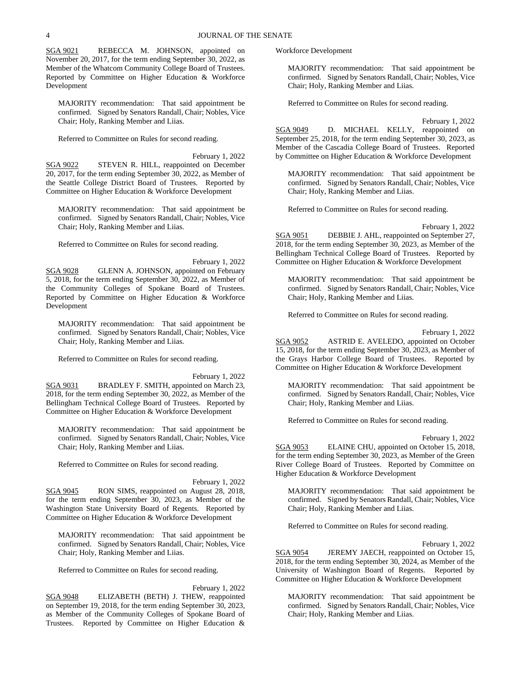SGA 9021 REBECCA M. JOHNSON, appointed on November 20, 2017, for the term ending September 30, 2022, as Member of the Whatcom Community College Board of Trustees. Reported by Committee on Higher Education & Workforce Development

MAJORITY recommendation: That said appointment be confirmed. Signed by Senators Randall, Chair; Nobles, Vice Chair; Holy, Ranking Member and Liias.

Referred to Committee on Rules for second reading.

February 1, 2022

SGA 9022 STEVEN R. HILL, reappointed on December 20, 2017, for the term ending September 30, 2022, as Member of the Seattle College District Board of Trustees. Reported by Committee on Higher Education & Workforce Development

MAJORITY recommendation: That said appointment be confirmed. Signed by Senators Randall, Chair; Nobles, Vice Chair; Holy, Ranking Member and Liias.

Referred to Committee on Rules for second reading.

February 1, 2022 SGA 9028 GLENN A. JOHNSON, appointed on February 5, 2018, for the term ending September 30, 2022, as Member of the Community Colleges of Spokane Board of Trustees. Reported by Committee on Higher Education & Workforce Development

MAJORITY recommendation: That said appointment be confirmed. Signed by Senators Randall, Chair; Nobles, Vice Chair; Holy, Ranking Member and Liias.

Referred to Committee on Rules for second reading.

February 1, 2022

SGA 9031 BRADLEY F. SMITH, appointed on March 23, 2018, for the term ending September 30, 2022, as Member of the Bellingham Technical College Board of Trustees. Reported by Committee on Higher Education & Workforce Development

MAJORITY recommendation: That said appointment be confirmed. Signed by Senators Randall, Chair; Nobles, Vice Chair; Holy, Ranking Member and Liias.

Referred to Committee on Rules for second reading.

February 1, 2022 SGA 9045 RON SIMS, reappointed on August 28, 2018, for the term ending September 30, 2023, as Member of the Washington State University Board of Regents. Reported by Committee on Higher Education & Workforce Development

MAJORITY recommendation: That said appointment be confirmed. Signed by Senators Randall, Chair; Nobles, Vice Chair; Holy, Ranking Member and Liias.

Referred to Committee on Rules for second reading.

February 1, 2022

SGA 9048 ELIZABETH (BETH) J. THEW, reappointed on September 19, 2018, for the term ending September 30, 2023, as Member of the Community Colleges of Spokane Board of Trustees. Reported by Committee on Higher Education &

Workforce Development

MAJORITY recommendation: That said appointment be confirmed. Signed by Senators Randall, Chair; Nobles, Vice Chair; Holy, Ranking Member and Liias.

Referred to Committee on Rules for second reading.

February 1, 2022 SGA 9049 D. MICHAEL KELLY, reappointed on September 25, 2018, for the term ending September 30, 2023, as Member of the Cascadia College Board of Trustees. Reported by Committee on Higher Education & Workforce Development

MAJORITY recommendation: That said appointment be confirmed. Signed by Senators Randall, Chair; Nobles, Vice Chair; Holy, Ranking Member and Liias.

Referred to Committee on Rules for second reading.

February 1, 2022

SGA 9051 DEBBIE J. AHL, reappointed on September 27, 2018, for the term ending September 30, 2023, as Member of the Bellingham Technical College Board of Trustees. Reported by Committee on Higher Education & Workforce Development

MAJORITY recommendation: That said appointment be confirmed. Signed by Senators Randall, Chair; Nobles, Vice Chair; Holy, Ranking Member and Liias.

Referred to Committee on Rules for second reading.

February 1, 2022

SGA 9052 ASTRID E. AVELEDO, appointed on October 15, 2018, for the term ending September 30, 2023, as Member of the Grays Harbor College Board of Trustees. Reported by Committee on Higher Education & Workforce Development

MAJORITY recommendation: That said appointment be confirmed. Signed by Senators Randall, Chair; Nobles, Vice Chair; Holy, Ranking Member and Liias.

Referred to Committee on Rules for second reading.

February 1, 2022

SGA 9053 ELAINE CHU, appointed on October 15, 2018, for the term ending September 30, 2023, as Member of the Green River College Board of Trustees. Reported by Committee on Higher Education & Workforce Development

MAJORITY recommendation: That said appointment be confirmed. Signed by Senators Randall, Chair; Nobles, Vice Chair; Holy, Ranking Member and Liias.

Referred to Committee on Rules for second reading.

February 1, 2022

SGA 9054 JEREMY JAECH, reappointed on October 15, 2018, for the term ending September 30, 2024, as Member of the University of Washington Board of Regents. Reported by Committee on Higher Education & Workforce Development

MAJORITY recommendation: That said appointment be confirmed. Signed by Senators Randall, Chair; Nobles, Vice Chair; Holy, Ranking Member and Liias.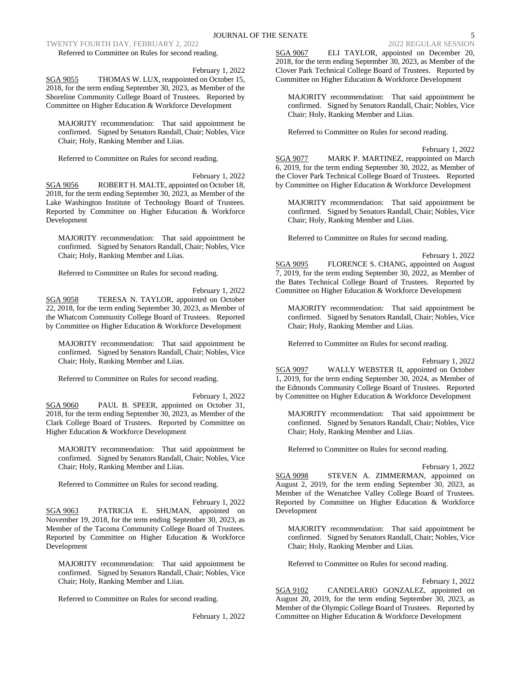TWENTY FOURTH DAY, FEBRUARY 2, 2022 2022 2022 2022 2022 REGULAR SESSION

Referred to Committee on Rules for second reading.

February 1, 2022

SGA 9055 THOMAS W. LUX, reappointed on October 15, 2018, for the term ending September 30, 2023, as Member of the Shoreline Community College Board of Trustees. Reported by Committee on Higher Education & Workforce Development

MAJORITY recommendation: That said appointment be confirmed. Signed by Senators Randall, Chair; Nobles, Vice Chair; Holy, Ranking Member and Liias.

Referred to Committee on Rules for second reading.

February 1, 2022 SGA 9056 ROBERT H. MALTE, appointed on October 18, 2018, for the term ending September 30, 2023, as Member of the Lake Washington Institute of Technology Board of Trustees. Reported by Committee on Higher Education & Workforce Development

MAJORITY recommendation: That said appointment be confirmed. Signed by Senators Randall, Chair; Nobles, Vice Chair; Holy, Ranking Member and Liias.

Referred to Committee on Rules for second reading.

February 1, 2022 SGA 9058 TERESA N. TAYLOR, appointed on October 22, 2018, for the term ending September 30, 2023, as Member of the Whatcom Community College Board of Trustees. Reported by Committee on Higher Education & Workforce Development

MAJORITY recommendation: That said appointment be confirmed. Signed by Senators Randall, Chair; Nobles, Vice Chair; Holy, Ranking Member and Liias.

Referred to Committee on Rules for second reading.

February 1, 2022 SGA 9060 PAUL B. SPEER, appointed on October 31, 2018, for the term ending September 30, 2023, as Member of the Clark College Board of Trustees. Reported by Committee on Higher Education & Workforce Development

MAJORITY recommendation: That said appointment be confirmed. Signed by Senators Randall, Chair; Nobles, Vice Chair; Holy, Ranking Member and Liias.

Referred to Committee on Rules for second reading.

February 1, 2022 SGA 9063 PATRICIA E. SHUMAN, appointed on November 19, 2018, for the term ending September 30, 2023, as Member of the Tacoma Community College Board of Trustees. Reported by Committee on Higher Education & Workforce Development

MAJORITY recommendation: That said appointment be confirmed. Signed by Senators Randall, Chair; Nobles, Vice Chair; Holy, Ranking Member and Liias.

Referred to Committee on Rules for second reading.

February 1, 2022

SGA 9067 ELI TAYLOR, appointed on December 20, 2018, for the term ending September 30, 2023, as Member of the Clover Park Technical College Board of Trustees. Reported by Committee on Higher Education & Workforce Development

MAJORITY recommendation: That said appointment be confirmed. Signed by Senators Randall, Chair; Nobles, Vice Chair; Holy, Ranking Member and Liias.

Referred to Committee on Rules for second reading.

February 1, 2022 SGA 9077 MARK P. MARTINEZ, reappointed on March 6, 2019, for the term ending September 30, 2022, as Member of the Clover Park Technical College Board of Trustees. Reported by Committee on Higher Education & Workforce Development

MAJORITY recommendation: That said appointment be confirmed. Signed by Senators Randall, Chair; Nobles, Vice Chair; Holy, Ranking Member and Liias.

Referred to Committee on Rules for second reading.

February 1, 2022

SGA 9095 FLORENCE S. CHANG, appointed on August 7, 2019, for the term ending September 30, 2022, as Member of the Bates Technical College Board of Trustees. Reported by Committee on Higher Education & Workforce Development

MAJORITY recommendation: That said appointment be confirmed. Signed by Senators Randall, Chair; Nobles, Vice Chair; Holy, Ranking Member and Liias.

Referred to Committee on Rules for second reading.

February 1, 2022

SGA 9097 WALLY WEBSTER II, appointed on October 1, 2019, for the term ending September 30, 2024, as Member of the Edmonds Community College Board of Trustees. Reported by Committee on Higher Education & Workforce Development

MAJORITY recommendation: That said appointment be confirmed. Signed by Senators Randall, Chair; Nobles, Vice Chair; Holy, Ranking Member and Liias.

Referred to Committee on Rules for second reading.

February 1, 2022

SGA 9098 STEVEN A. ZIMMERMAN, appointed on August 2, 2019, for the term ending September 30, 2023, as Member of the Wenatchee Valley College Board of Trustees. Reported by Committee on Higher Education & Workforce Development

MAJORITY recommendation: That said appointment be confirmed. Signed by Senators Randall, Chair; Nobles, Vice Chair; Holy, Ranking Member and Liias.

Referred to Committee on Rules for second reading.

February 1, 2022

SGA 9102 CANDELARIO GONZALEZ, appointed on August 20, 2019, for the term ending September 30, 2023, as Member of the Olympic College Board of Trustees. Reported by Committee on Higher Education & Workforce Development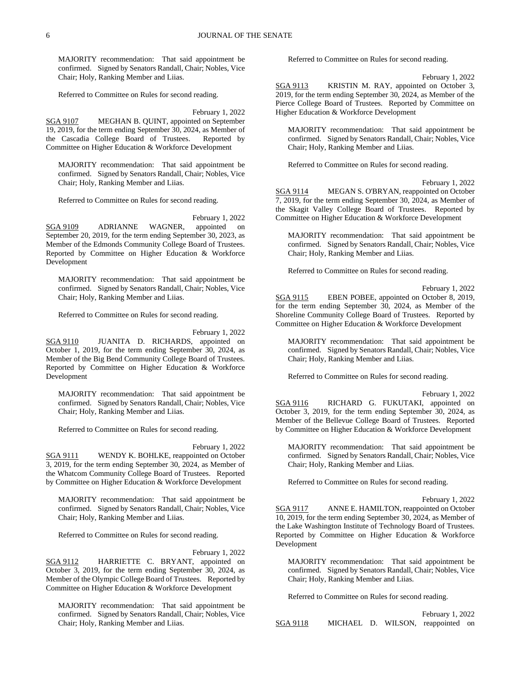MAJORITY recommendation: That said appointment be confirmed. Signed by Senators Randall, Chair; Nobles, Vice Chair; Holy, Ranking Member and Liias.

Referred to Committee on Rules for second reading.

February 1, 2022

SGA 9107 MEGHAN B. QUINT, appointed on September 19, 2019, for the term ending September 30, 2024, as Member of the Cascadia College Board of Trustees. Reported by Committee on Higher Education & Workforce Development

MAJORITY recommendation: That said appointment be confirmed. Signed by Senators Randall, Chair; Nobles, Vice Chair; Holy, Ranking Member and Liias.

Referred to Committee on Rules for second reading.

February 1, 2022 SGA 9109 ADRIANNE WAGNER, appointed on September 20, 2019, for the term ending September 30, 2023, as Member of the Edmonds Community College Board of Trustees. Reported by Committee on Higher Education & Workforce Development

MAJORITY recommendation: That said appointment be confirmed. Signed by Senators Randall, Chair; Nobles, Vice Chair; Holy, Ranking Member and Liias.

Referred to Committee on Rules for second reading.

February 1, 2022 SGA 9110 JUANITA D. RICHARDS, appointed on October 1, 2019, for the term ending September 30, 2024, as Member of the Big Bend Community College Board of Trustees. Reported by Committee on Higher Education & Workforce Development

MAJORITY recommendation: That said appointment be confirmed. Signed by Senators Randall, Chair; Nobles, Vice Chair; Holy, Ranking Member and Liias.

Referred to Committee on Rules for second reading.

February 1, 2022

SGA 9111 WENDY K. BOHLKE, reappointed on October 3, 2019, for the term ending September 30, 2024, as Member of the Whatcom Community College Board of Trustees. Reported by Committee on Higher Education & Workforce Development

MAJORITY recommendation: That said appointment be confirmed. Signed by Senators Randall, Chair; Nobles, Vice Chair; Holy, Ranking Member and Liias.

Referred to Committee on Rules for second reading.

February 1, 2022 SGA 9112 HARRIETTE C. BRYANT, appointed on October 3, 2019, for the term ending September 30, 2024, as Member of the Olympic College Board of Trustees. Reported by Committee on Higher Education & Workforce Development

MAJORITY recommendation: That said appointment be confirmed. Signed by Senators Randall, Chair; Nobles, Vice Chair; Holy, Ranking Member and Liias.

Referred to Committee on Rules for second reading.

February 1, 2022

SGA 9113 KRISTIN M. RAY, appointed on October 3, 2019, for the term ending September 30, 2024, as Member of the Pierce College Board of Trustees. Reported by Committee on Higher Education & Workforce Development

MAJORITY recommendation: That said appointment be confirmed. Signed by Senators Randall, Chair; Nobles, Vice Chair; Holy, Ranking Member and Liias.

Referred to Committee on Rules for second reading.

February 1, 2022

SGA 9114 MEGAN S. O'BRYAN, reappointed on October 7, 2019, for the term ending September 30, 2024, as Member of the Skagit Valley College Board of Trustees. Reported by Committee on Higher Education & Workforce Development

MAJORITY recommendation: That said appointment be confirmed. Signed by Senators Randall, Chair; Nobles, Vice Chair; Holy, Ranking Member and Liias.

Referred to Committee on Rules for second reading.

February 1, 2022

SGA 9115 EBEN POBEE, appointed on October 8, 2019, for the term ending September 30, 2024, as Member of the Shoreline Community College Board of Trustees. Reported by Committee on Higher Education & Workforce Development

MAJORITY recommendation: That said appointment be confirmed. Signed by Senators Randall, Chair; Nobles, Vice Chair; Holy, Ranking Member and Liias.

Referred to Committee on Rules for second reading.

February 1, 2022

SGA 9116 RICHARD G. FUKUTAKI, appointed on October 3, 2019, for the term ending September 30, 2024, as Member of the Bellevue College Board of Trustees. Reported by Committee on Higher Education & Workforce Development

MAJORITY recommendation: That said appointment be confirmed. Signed by Senators Randall, Chair; Nobles, Vice Chair; Holy, Ranking Member and Liias.

Referred to Committee on Rules for second reading.

February 1, 2022

SGA 9117 ANNE E. HAMILTON, reappointed on October 10, 2019, for the term ending September 30, 2024, as Member of the Lake Washington Institute of Technology Board of Trustees. Reported by Committee on Higher Education & Workforce Development

MAJORITY recommendation: That said appointment be confirmed. Signed by Senators Randall, Chair; Nobles, Vice Chair; Holy, Ranking Member and Liias.

Referred to Committee on Rules for second reading.

February 1, 2022 SGA 9118 MICHAEL D. WILSON, reappointed on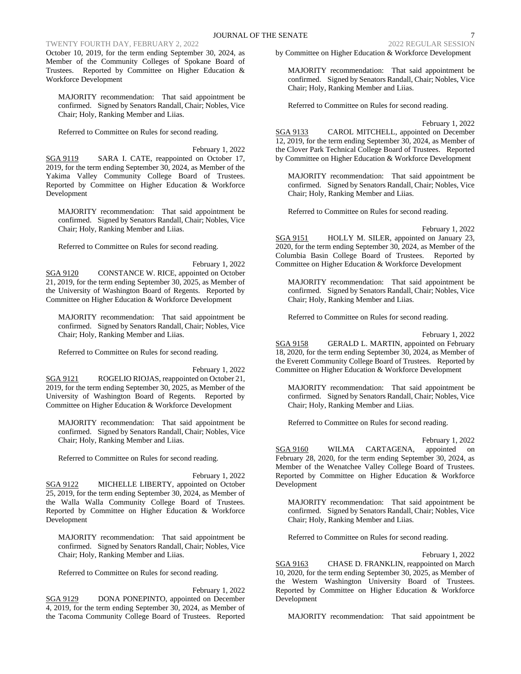## TWENTY FOURTH DAY, FEBRUARY 2, 2022 2022 2022 2022 REGULAR SESSION

October 10, 2019, for the term ending September 30, 2024, as Member of the Community Colleges of Spokane Board of Trustees. Reported by Committee on Higher Education & Workforce Development

MAJORITY recommendation: That said appointment be confirmed. Signed by Senators Randall, Chair; Nobles, Vice Chair; Holy, Ranking Member and Liias.

Referred to Committee on Rules for second reading.

February 1, 2022 SGA 9119 SARA I. CATE, reappointed on October 17, 2019, for the term ending September 30, 2024, as Member of the Yakima Valley Community College Board of Trustees. Reported by Committee on Higher Education & Workforce Development

MAJORITY recommendation: That said appointment be confirmed. Signed by Senators Randall, Chair; Nobles, Vice Chair; Holy, Ranking Member and Liias.

Referred to Committee on Rules for second reading.

February 1, 2022 SGA 9120 CONSTANCE W. RICE, appointed on October 21, 2019, for the term ending September 30, 2025, as Member of the University of Washington Board of Regents. Reported by Committee on Higher Education & Workforce Development

MAJORITY recommendation: That said appointment be confirmed. Signed by Senators Randall, Chair; Nobles, Vice Chair; Holy, Ranking Member and Liias.

Referred to Committee on Rules for second reading.

February 1, 2022 SGA 9121 ROGELIO RIOJAS, reappointed on October 21, 2019, for the term ending September 30, 2025, as Member of the University of Washington Board of Regents. Reported by Committee on Higher Education & Workforce Development

MAJORITY recommendation: That said appointment be confirmed. Signed by Senators Randall, Chair; Nobles, Vice Chair; Holy, Ranking Member and Liias.

Referred to Committee on Rules for second reading.

February 1, 2022

SGA 9122 MICHELLE LIBERTY, appointed on October 25, 2019, for the term ending September 30, 2024, as Member of the Walla Walla Community College Board of Trustees. Reported by Committee on Higher Education & Workforce Development

MAJORITY recommendation: That said appointment be confirmed. Signed by Senators Randall, Chair; Nobles, Vice Chair; Holy, Ranking Member and Liias.

Referred to Committee on Rules for second reading.

February 1, 2022 SGA 9129 DONA PONEPINTO, appointed on December 4, 2019, for the term ending September 30, 2024, as Member of the Tacoma Community College Board of Trustees. Reported by Committee on Higher Education & Workforce Development

MAJORITY recommendation: That said appointment be confirmed. Signed by Senators Randall, Chair; Nobles, Vice Chair; Holy, Ranking Member and Liias.

Referred to Committee on Rules for second reading.

February 1, 2022 SGA 9133 CAROL MITCHELL, appointed on December 12, 2019, for the term ending September 30, 2024, as Member of the Clover Park Technical College Board of Trustees. Reported by Committee on Higher Education & Workforce Development

MAJORITY recommendation: That said appointment be confirmed. Signed by Senators Randall, Chair; Nobles, Vice Chair; Holy, Ranking Member and Liias.

Referred to Committee on Rules for second reading.

February 1, 2022

SGA 9151 HOLLY M. SILER, appointed on January 23, 2020, for the term ending September 30, 2024, as Member of the Columbia Basin College Board of Trustees. Reported by Committee on Higher Education & Workforce Development

MAJORITY recommendation: That said appointment be confirmed. Signed by Senators Randall, Chair; Nobles, Vice Chair; Holy, Ranking Member and Liias.

Referred to Committee on Rules for second reading.

February 1, 2022

SGA 9158 GERALD L. MARTIN, appointed on February 18, 2020, for the term ending September 30, 2024, as Member of the Everett Community College Board of Trustees. Reported by Committee on Higher Education & Workforce Development

MAJORITY recommendation: That said appointment be confirmed. Signed by Senators Randall, Chair; Nobles, Vice Chair; Holy, Ranking Member and Liias.

Referred to Committee on Rules for second reading.

February 1, 2022

SGA 9160 WILMA CARTAGENA, appointed on February 28, 2020, for the term ending September 30, 2024, as Member of the Wenatchee Valley College Board of Trustees. Reported by Committee on Higher Education & Workforce Development

MAJORITY recommendation: That said appointment be confirmed. Signed by Senators Randall, Chair; Nobles, Vice Chair; Holy, Ranking Member and Liias.

Referred to Committee on Rules for second reading.

February 1, 2022

SGA 9163 CHASE D. FRANKLIN, reappointed on March 10, 2020, for the term ending September 30, 2025, as Member of the Western Washington University Board of Trustees. Reported by Committee on Higher Education & Workforce Development

MAJORITY recommendation: That said appointment be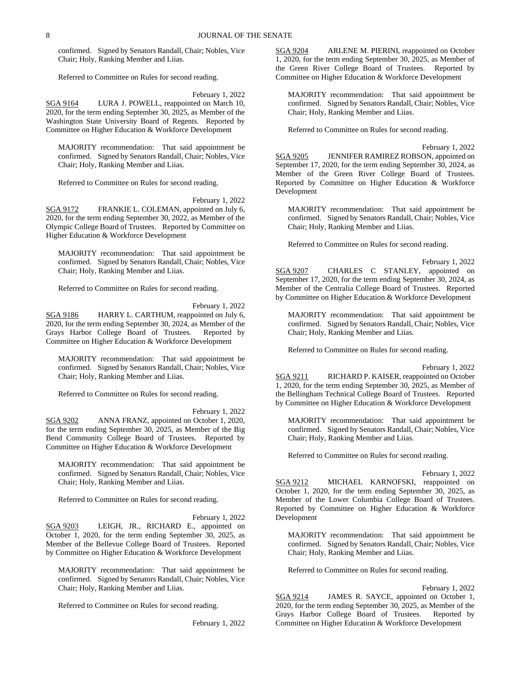confirmed. Signed by Senators Randall, Chair; Nobles, Vice Chair; Holy, Ranking Member and Liias.

Referred to Committee on Rules for second reading.

February 1, 2022

SGA 9164 LURA J. POWELL, reappointed on March 10, 2020, for the term ending September 30, 2025, as Member of the Washington State University Board of Regents. Reported by Committee on Higher Education & Workforce Development

MAJORITY recommendation: That said appointment be confirmed. Signed by Senators Randall, Chair; Nobles, Vice Chair; Holy, Ranking Member and Liias.

Referred to Committee on Rules for second reading.

February 1, 2022 SGA 9172 FRANKIE L. COLEMAN, appointed on July 6, 2020, for the term ending September 30, 2022, as Member of the Olympic College Board of Trustees. Reported by Committee on Higher Education & Workforce Development

MAJORITY recommendation: That said appointment be confirmed. Signed by Senators Randall, Chair; Nobles, Vice Chair; Holy, Ranking Member and Liias.

Referred to Committee on Rules for second reading.

February 1, 2022

SGA 9186 HARRY L. CARTHUM, reappointed on July 6, 2020, for the term ending September 30, 2024, as Member of the Grays Harbor College Board of Trustees. Reported by Committee on Higher Education & Workforce Development

MAJORITY recommendation: That said appointment be confirmed. Signed by Senators Randall, Chair; Nobles, Vice Chair; Holy, Ranking Member and Liias.

Referred to Committee on Rules for second reading.

February 1, 2022 SGA 9202 ANNA FRANZ, appointed on October 1, 2020, for the term ending September 30, 2025, as Member of the Big Bend Community College Board of Trustees. Reported by Committee on Higher Education & Workforce Development

MAJORITY recommendation: That said appointment be confirmed. Signed by Senators Randall, Chair; Nobles, Vice Chair; Holy, Ranking Member and Liias.

Referred to Committee on Rules for second reading.

February 1, 2022 SGA 9203 LEIGH, JR., RICHARD E., appointed on October 1, 2020, for the term ending September 30, 2025, as Member of the Bellevue College Board of Trustees. Reported by Committee on Higher Education & Workforce Development

MAJORITY recommendation: That said appointment be confirmed. Signed by Senators Randall, Chair; Nobles, Vice Chair; Holy, Ranking Member and Liias.

Referred to Committee on Rules for second reading.

February 1, 2022

SGA 9204 ARLENE M. PIERINI, reappointed on October 1, 2020, for the term ending September 30, 2025, as Member of the Green River College Board of Trustees. Reported by Committee on Higher Education & Workforce Development

MAJORITY recommendation: That said appointment be confirmed. Signed by Senators Randall, Chair; Nobles, Vice Chair; Holy, Ranking Member and Liias.

Referred to Committee on Rules for second reading.

February 1, 2022

SGA 9205 JENNIFER RAMIREZ ROBSON, appointed on September 17, 2020, for the term ending September 30, 2024, as Member of the Green River College Board of Trustees. Reported by Committee on Higher Education & Workforce Development

MAJORITY recommendation: That said appointment be confirmed. Signed by Senators Randall, Chair; Nobles, Vice Chair; Holy, Ranking Member and Liias.

Referred to Committee on Rules for second reading.

February 1, 2022 SGA 9207 CHARLES C STANLEY, appointed on September 17, 2020, for the term ending September 30, 2024, as Member of the Centralia College Board of Trustees. Reported by Committee on Higher Education & Workforce Development

MAJORITY recommendation: That said appointment be confirmed. Signed by Senators Randall, Chair; Nobles, Vice Chair; Holy, Ranking Member and Liias.

Referred to Committee on Rules for second reading.

February 1, 2022

SGA 9211 RICHARD P. KAISER, reappointed on October 1, 2020, for the term ending September 30, 2025, as Member of the Bellingham Technical College Board of Trustees. Reported by Committee on Higher Education & Workforce Development

MAJORITY recommendation: That said appointment be confirmed. Signed by Senators Randall, Chair; Nobles, Vice Chair; Holy, Ranking Member and Liias.

Referred to Committee on Rules for second reading.

February 1, 2022 SGA 9212 MICHAEL KARNOFSKI, reappointed on October 1, 2020, for the term ending September 30, 2025, as Member of the Lower Columbia College Board of Trustees. Reported by Committee on Higher Education & Workforce Development

MAJORITY recommendation: That said appointment be confirmed. Signed by Senators Randall, Chair; Nobles, Vice Chair; Holy, Ranking Member and Liias.

Referred to Committee on Rules for second reading.

February 1, 2022

SGA 9214 JAMES R. SAYCE, appointed on October 1, 2020, for the term ending September 30, 2025, as Member of the Grays Harbor College Board of Trustees. Reported by Committee on Higher Education & Workforce Development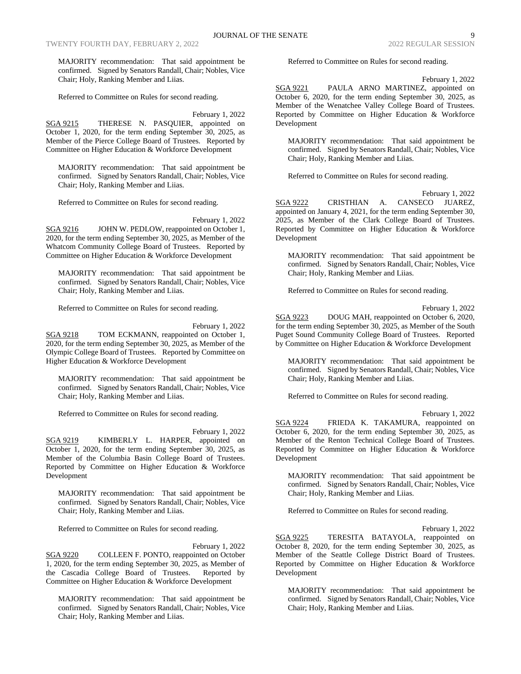MAJORITY recommendation: That said appointment be confirmed. Signed by Senators Randall, Chair; Nobles, Vice Chair; Holy, Ranking Member and Liias.

Referred to Committee on Rules for second reading.

February 1, 2022

SGA 9215 THERESE N. PASQUIER, appointed on October 1, 2020, for the term ending September 30, 2025, as Member of the Pierce College Board of Trustees. Reported by Committee on Higher Education & Workforce Development

MAJORITY recommendation: That said appointment be confirmed. Signed by Senators Randall, Chair; Nobles, Vice Chair; Holy, Ranking Member and Liias.

Referred to Committee on Rules for second reading.

February 1, 2022

SGA 9216 JOHN W. PEDLOW, reappointed on October 1, 2020, for the term ending September 30, 2025, as Member of the Whatcom Community College Board of Trustees. Reported by Committee on Higher Education & Workforce Development

MAJORITY recommendation: That said appointment be confirmed. Signed by Senators Randall, Chair; Nobles, Vice Chair; Holy, Ranking Member and Liias.

Referred to Committee on Rules for second reading.

February 1, 2022 SGA 9218 TOM ECKMANN, reappointed on October 1, 2020, for the term ending September 30, 2025, as Member of the Olympic College Board of Trustees. Reported by Committee on Higher Education & Workforce Development

MAJORITY recommendation: That said appointment be confirmed. Signed by Senators Randall, Chair; Nobles, Vice Chair; Holy, Ranking Member and Liias.

Referred to Committee on Rules for second reading.

February 1, 2022 SGA 9219 KIMBERLY L. HARPER, appointed on October 1, 2020, for the term ending September 30, 2025, as Member of the Columbia Basin College Board of Trustees. Reported by Committee on Higher Education & Workforce Development

MAJORITY recommendation: That said appointment be confirmed. Signed by Senators Randall, Chair; Nobles, Vice Chair; Holy, Ranking Member and Liias.

Referred to Committee on Rules for second reading.

February 1, 2022

SGA 9220 COLLEEN F. PONTO, reappointed on October 1, 2020, for the term ending September 30, 2025, as Member of the Cascadia College Board of Trustees. Reported by Committee on Higher Education & Workforce Development

MAJORITY recommendation: That said appointment be confirmed. Signed by Senators Randall, Chair; Nobles, Vice Chair; Holy, Ranking Member and Liias.

Referred to Committee on Rules for second reading.

February 1, 2022

SGA 9221 PAULA ARNO MARTINEZ, appointed on October 6, 2020, for the term ending September 30, 2025, as Member of the Wenatchee Valley College Board of Trustees. Reported by Committee on Higher Education & Workforce Development

MAJORITY recommendation: That said appointment be confirmed. Signed by Senators Randall, Chair; Nobles, Vice Chair; Holy, Ranking Member and Liias.

Referred to Committee on Rules for second reading.

February 1, 2022 SGA 9222 CRISTHIAN A. CANSECO JUAREZ, appointed on January 4, 2021, for the term ending September 30, 2025, as Member of the Clark College Board of Trustees. Reported by Committee on Higher Education & Workforce Development

MAJORITY recommendation: That said appointment be confirmed. Signed by Senators Randall, Chair; Nobles, Vice Chair; Holy, Ranking Member and Liias.

Referred to Committee on Rules for second reading.

February 1, 2022

SGA 9223 DOUG MAH, reappointed on October 6, 2020, for the term ending September 30, 2025, as Member of the South Puget Sound Community College Board of Trustees. Reported by Committee on Higher Education & Workforce Development

MAJORITY recommendation: That said appointment be confirmed. Signed by Senators Randall, Chair; Nobles, Vice Chair; Holy, Ranking Member and Liias.

Referred to Committee on Rules for second reading.

February 1, 2022

SGA 9224 FRIEDA K. TAKAMURA, reappointed on October 6, 2020, for the term ending September 30, 2025, as Member of the Renton Technical College Board of Trustees. Reported by Committee on Higher Education & Workforce Development

MAJORITY recommendation: That said appointment be confirmed. Signed by Senators Randall, Chair; Nobles, Vice Chair; Holy, Ranking Member and Liias.

Referred to Committee on Rules for second reading.

February 1, 2022

SGA 9225 TERESITA BATAYOLA, reappointed on October 8, 2020, for the term ending September 30, 2025, as Member of the Seattle College District Board of Trustees. Reported by Committee on Higher Education & Workforce Development

MAJORITY recommendation: That said appointment be confirmed. Signed by Senators Randall, Chair; Nobles, Vice Chair; Holy, Ranking Member and Liias.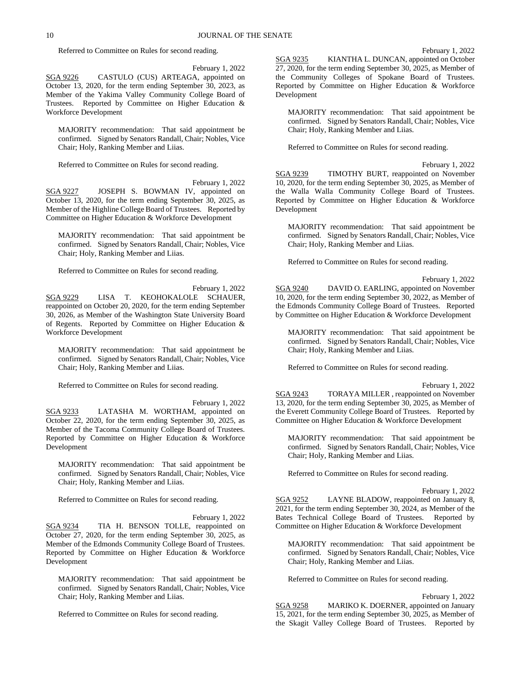Referred to Committee on Rules for second reading.

February 1, 2022

SGA 9226 CASTULO (CUS) ARTEAGA, appointed on October 13, 2020, for the term ending September 30, 2023, as Member of the Yakima Valley Community College Board of Trustees. Reported by Committee on Higher Education & Workforce Development

MAJORITY recommendation: That said appointment be confirmed. Signed by Senators Randall, Chair; Nobles, Vice Chair; Holy, Ranking Member and Liias.

Referred to Committee on Rules for second reading.

February 1, 2022 SGA 9227 JOSEPH S. BOWMAN IV, appointed on October 13, 2020, for the term ending September 30, 2025, as Member of the Highline College Board of Trustees. Reported by Committee on Higher Education & Workforce Development

MAJORITY recommendation: That said appointment be confirmed. Signed by Senators Randall, Chair; Nobles, Vice Chair; Holy, Ranking Member and Liias.

Referred to Committee on Rules for second reading.

February 1, 2022 SGA 9229 LISA T. KEOHOKALOLE SCHAUER, reappointed on October 20, 2020, for the term ending September 30, 2026, as Member of the Washington State University Board of Regents. Reported by Committee on Higher Education & Workforce Development

MAJORITY recommendation: That said appointment be confirmed. Signed by Senators Randall, Chair; Nobles, Vice Chair; Holy, Ranking Member and Liias.

Referred to Committee on Rules for second reading.

February 1, 2022 SGA 9233 LATASHA M. WORTHAM, appointed on October 22, 2020, for the term ending September 30, 2025, as Member of the Tacoma Community College Board of Trustees. Reported by Committee on Higher Education & Workforce Development

MAJORITY recommendation: That said appointment be confirmed. Signed by Senators Randall, Chair; Nobles, Vice Chair; Holy, Ranking Member and Liias.

Referred to Committee on Rules for second reading.

February 1, 2022 SGA 9234 TIA H. BENSON TOLLE, reappointed on October 27, 2020, for the term ending September 30, 2025, as Member of the Edmonds Community College Board of Trustees. Reported by Committee on Higher Education & Workforce Development

MAJORITY recommendation: That said appointment be confirmed. Signed by Senators Randall, Chair; Nobles, Vice Chair; Holy, Ranking Member and Liias.

Referred to Committee on Rules for second reading.

SGA 9235 KIANTHA L. DUNCAN, appointed on October 27, 2020, for the term ending September 30, 2025, as Member of the Community Colleges of Spokane Board of Trustees. Reported by Committee on Higher Education & Workforce Development

MAJORITY recommendation: That said appointment be confirmed. Signed by Senators Randall, Chair; Nobles, Vice Chair; Holy, Ranking Member and Liias.

Referred to Committee on Rules for second reading.

February 1, 2022 SGA 9239 TIMOTHY BURT, reappointed on November 10, 2020, for the term ending September 30, 2025, as Member of the Walla Walla Community College Board of Trustees. Reported by Committee on Higher Education & Workforce Development

MAJORITY recommendation: That said appointment be confirmed. Signed by Senators Randall, Chair; Nobles, Vice Chair; Holy, Ranking Member and Liias.

Referred to Committee on Rules for second reading.

February 1, 2022 SGA 9240 DAVID O. EARLING, appointed on November 10, 2020, for the term ending September 30, 2022, as Member of the Edmonds Community College Board of Trustees. Reported by Committee on Higher Education & Workforce Development

MAJORITY recommendation: That said appointment be confirmed. Signed by Senators Randall, Chair; Nobles, Vice Chair; Holy, Ranking Member and Liias.

Referred to Committee on Rules for second reading.

February 1, 2022

SGA 9243 TORAYA MILLER , reappointed on November 13, 2020, for the term ending September 30, 2025, as Member of the Everett Community College Board of Trustees. Reported by Committee on Higher Education & Workforce Development

MAJORITY recommendation: That said appointment be confirmed. Signed by Senators Randall, Chair; Nobles, Vice Chair; Holy, Ranking Member and Liias.

Referred to Committee on Rules for second reading.

February 1, 2022

SGA 9252 LAYNE BLADOW, reappointed on January 8, 2021, for the term ending September 30, 2024, as Member of the Bates Technical College Board of Trustees. Reported by Committee on Higher Education & Workforce Development

MAJORITY recommendation: That said appointment be confirmed. Signed by Senators Randall, Chair; Nobles, Vice Chair; Holy, Ranking Member and Liias.

Referred to Committee on Rules for second reading.

February 1, 2022

SGA 9258 MARIKO K. DOERNER, appointed on January 15, 2021, for the term ending September 30, 2025, as Member of the Skagit Valley College Board of Trustees. Reported by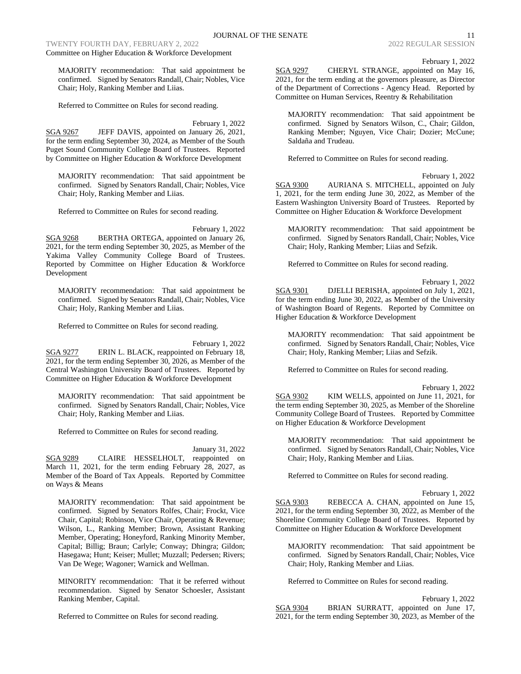TWENTY FOURTH DAY, FEBRUARY 2, 2022 2022 2022 2022 2022 REGULAR SESSION

Committee on Higher Education & Workforce Development

MAJORITY recommendation: That said appointment be confirmed. Signed by Senators Randall, Chair; Nobles, Vice Chair; Holy, Ranking Member and Liias.

Referred to Committee on Rules for second reading.

February 1, 2022

SGA 9267 JEFF DAVIS, appointed on January 26, 2021, for the term ending September 30, 2024, as Member of the South Puget Sound Community College Board of Trustees. Reported by Committee on Higher Education & Workforce Development

MAJORITY recommendation: That said appointment be confirmed. Signed by Senators Randall, Chair; Nobles, Vice Chair; Holy, Ranking Member and Liias.

Referred to Committee on Rules for second reading.

February 1, 2022

SGA 9268 BERTHA ORTEGA, appointed on January 26, 2021, for the term ending September 30, 2025, as Member of the Yakima Valley Community College Board of Trustees. Reported by Committee on Higher Education & Workforce Development

MAJORITY recommendation: That said appointment be confirmed. Signed by Senators Randall, Chair; Nobles, Vice Chair; Holy, Ranking Member and Liias.

Referred to Committee on Rules for second reading.

February 1, 2022

SGA 9277 ERIN L. BLACK, reappointed on February 18, 2021, for the term ending September 30, 2026, as Member of the Central Washington University Board of Trustees. Reported by Committee on Higher Education & Workforce Development

MAJORITY recommendation: That said appointment be confirmed. Signed by Senators Randall, Chair; Nobles, Vice Chair; Holy, Ranking Member and Liias.

Referred to Committee on Rules for second reading.

January 31, 2022 SGA 9289 CLAIRE HESSELHOLT, reappointed on March 11, 2021, for the term ending February 28, 2027, as Member of the Board of Tax Appeals. Reported by Committee on Ways & Means

MAJORITY recommendation: That said appointment be confirmed. Signed by Senators Rolfes, Chair; Frockt, Vice Chair, Capital; Robinson, Vice Chair, Operating & Revenue; Wilson, L., Ranking Member; Brown, Assistant Ranking Member, Operating; Honeyford, Ranking Minority Member, Capital; Billig; Braun; Carlyle; Conway; Dhingra; Gildon; Hasegawa; Hunt; Keiser; Mullet; Muzzall; Pedersen; Rivers; Van De Wege; Wagoner; Warnick and Wellman.

MINORITY recommendation: That it be referred without recommendation. Signed by Senator Schoesler, Assistant Ranking Member, Capital.

Referred to Committee on Rules for second reading.

February 1, 2022

SGA 9297 CHERYL STRANGE, appointed on May 16, 2021, for the term ending at the governors pleasure, as Director of the Department of Corrections - Agency Head. Reported by Committee on Human Services, Reentry & Rehabilitation

MAJORITY recommendation: That said appointment be confirmed. Signed by Senators Wilson, C., Chair; Gildon, Ranking Member; Nguyen, Vice Chair; Dozier; McCune; Saldaña and Trudeau.

Referred to Committee on Rules for second reading.

February 1, 2022

SGA 9300 AURIANA S. MITCHELL, appointed on July 1, 2021, for the term ending June 30, 2022, as Member of the Eastern Washington University Board of Trustees. Reported by Committee on Higher Education & Workforce Development

MAJORITY recommendation: That said appointment be confirmed. Signed by Senators Randall, Chair; Nobles, Vice Chair; Holy, Ranking Member; Liias and Sefzik.

Referred to Committee on Rules for second reading.

February 1, 2022

SGA 9301 DJELLI BERISHA, appointed on July 1, 2021, for the term ending June 30, 2022, as Member of the University of Washington Board of Regents. Reported by Committee on Higher Education & Workforce Development

MAJORITY recommendation: That said appointment be confirmed. Signed by Senators Randall, Chair; Nobles, Vice Chair; Holy, Ranking Member; Liias and Sefzik.

Referred to Committee on Rules for second reading.

February 1, 2022

SGA 9302 KIM WELLS, appointed on June 11, 2021, for the term ending September 30, 2025, as Member of the Shoreline Community College Board of Trustees. Reported by Committee on Higher Education & Workforce Development

MAJORITY recommendation: That said appointment be confirmed. Signed by Senators Randall, Chair; Nobles, Vice Chair; Holy, Ranking Member and Liias.

Referred to Committee on Rules for second reading.

February 1, 2022

SGA 9303 REBECCA A. CHAN, appointed on June 15, 2021, for the term ending September 30, 2022, as Member of the Shoreline Community College Board of Trustees. Reported by Committee on Higher Education & Workforce Development

MAJORITY recommendation: That said appointment be confirmed. Signed by Senators Randall, Chair; Nobles, Vice Chair; Holy, Ranking Member and Liias.

Referred to Committee on Rules for second reading.

February 1, 2022 SGA 9304 BRIAN SURRATT, appointed on June 17, 2021, for the term ending September 30, 2023, as Member of the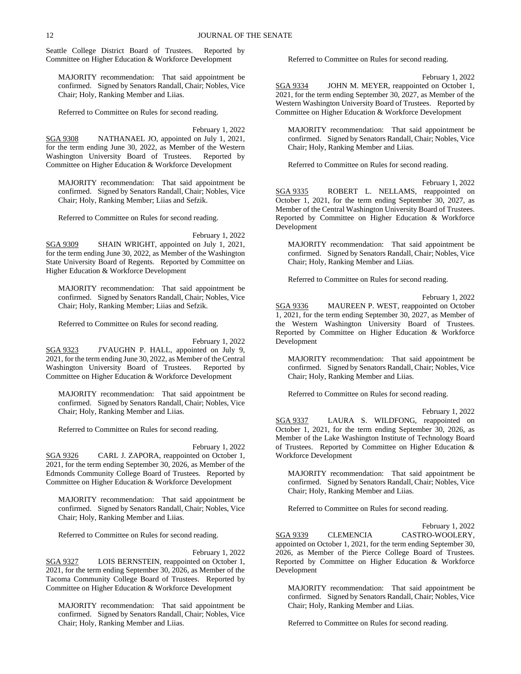Seattle College District Board of Trustees. Reported by Committee on Higher Education & Workforce Development

MAJORITY recommendation: That said appointment be confirmed. Signed by Senators Randall, Chair; Nobles, Vice Chair; Holy, Ranking Member and Liias.

Referred to Committee on Rules for second reading.

February 1, 2022

SGA 9308 NATHANAEL JO, appointed on July 1, 2021, for the term ending June 30, 2022, as Member of the Western Washington University Board of Trustees. Reported by Committee on Higher Education & Workforce Development

MAJORITY recommendation: That said appointment be confirmed. Signed by Senators Randall, Chair; Nobles, Vice Chair; Holy, Ranking Member; Liias and Sefzik.

Referred to Committee on Rules for second reading.

February 1, 2022

SGA 9309 SHAIN WRIGHT, appointed on July 1, 2021, for the term ending June 30, 2022, as Member of the Washington State University Board of Regents. Reported by Committee on Higher Education & Workforce Development

MAJORITY recommendation: That said appointment be confirmed. Signed by Senators Randall, Chair; Nobles, Vice Chair; Holy, Ranking Member; Liias and Sefzik.

Referred to Committee on Rules for second reading.

February 1, 2022

SGA 9323 J'VAUGHN P. HALL, appointed on July 9, 2021, for the term ending June 30, 2022, as Member of the Central Washington University Board of Trustees. Reported by Committee on Higher Education & Workforce Development

MAJORITY recommendation: That said appointment be confirmed. Signed by Senators Randall, Chair; Nobles, Vice Chair; Holy, Ranking Member and Liias.

Referred to Committee on Rules for second reading.

February 1, 2022

SGA 9326 CARL J. ZAPORA, reappointed on October 1, 2021, for the term ending September 30, 2026, as Member of the Edmonds Community College Board of Trustees. Reported by Committee on Higher Education & Workforce Development

MAJORITY recommendation: That said appointment be confirmed. Signed by Senators Randall, Chair; Nobles, Vice Chair; Holy, Ranking Member and Liias.

Referred to Committee on Rules for second reading.

February 1, 2022 SGA 9327 LOIS BERNSTEIN, reappointed on October 1, 2021, for the term ending September 30, 2026, as Member of the Tacoma Community College Board of Trustees. Reported by Committee on Higher Education & Workforce Development

MAJORITY recommendation: That said appointment be confirmed. Signed by Senators Randall, Chair; Nobles, Vice Chair; Holy, Ranking Member and Liias.

Referred to Committee on Rules for second reading.

February 1, 2022

SGA 9334 JOHN M. MEYER, reappointed on October 1, 2021, for the term ending September 30, 2027, as Member of the Western Washington University Board of Trustees. Reported by Committee on Higher Education & Workforce Development

MAJORITY recommendation: That said appointment be confirmed. Signed by Senators Randall, Chair; Nobles, Vice Chair; Holy, Ranking Member and Liias.

Referred to Committee on Rules for second reading.

February 1, 2022 SGA 9335 ROBERT L. NELLAMS, reappointed on October 1, 2021, for the term ending September 30, 2027, as Member of the Central Washington University Board of Trustees. Reported by Committee on Higher Education & Workforce Development

MAJORITY recommendation: That said appointment be confirmed. Signed by Senators Randall, Chair; Nobles, Vice Chair; Holy, Ranking Member and Liias.

Referred to Committee on Rules for second reading.

February 1, 2022 SGA 9336 MAUREEN P. WEST, reappointed on October 1, 2021, for the term ending September 30, 2027, as Member of the Western Washington University Board of Trustees. Reported by Committee on Higher Education & Workforce Development

MAJORITY recommendation: That said appointment be confirmed. Signed by Senators Randall, Chair; Nobles, Vice Chair; Holy, Ranking Member and Liias.

Referred to Committee on Rules for second reading.

February 1, 2022 SGA 9337 LAURA S. WILDFONG, reappointed on October 1, 2021, for the term ending September 30, 2026, as Member of the Lake Washington Institute of Technology Board of Trustees. Reported by Committee on Higher Education & Workforce Development

MAJORITY recommendation: That said appointment be confirmed. Signed by Senators Randall, Chair; Nobles, Vice Chair; Holy, Ranking Member and Liias.

Referred to Committee on Rules for second reading.

February 1, 2022

SGA 9339 CLEMENCIA CASTRO-WOOLERY, appointed on October 1, 2021, for the term ending September 30, 2026, as Member of the Pierce College Board of Trustees. Reported by Committee on Higher Education & Workforce Development

MAJORITY recommendation: That said appointment be confirmed. Signed by Senators Randall, Chair; Nobles, Vice Chair; Holy, Ranking Member and Liias.

Referred to Committee on Rules for second reading.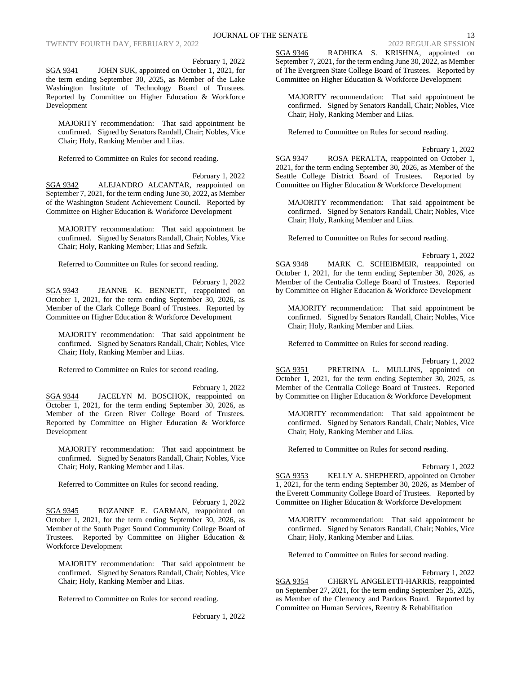February 1, 2022

SGA 9341 JOHN SUK, appointed on October 1, 2021, for the term ending September 30, 2025, as Member of the Lake Washington Institute of Technology Board of Trustees. Reported by Committee on Higher Education & Workforce Development

MAJORITY recommendation: That said appointment be confirmed. Signed by Senators Randall, Chair; Nobles, Vice Chair; Holy, Ranking Member and Liias.

Referred to Committee on Rules for second reading.

February 1, 2022 SGA 9342 ALEJANDRO ALCANTAR, reappointed on September 7, 2021, for the term ending June 30, 2022, as Member of the Washington Student Achievement Council. Reported by Committee on Higher Education & Workforce Development

MAJORITY recommendation: That said appointment be confirmed. Signed by Senators Randall, Chair; Nobles, Vice Chair; Holy, Ranking Member; Liias and Sefzik.

Referred to Committee on Rules for second reading.

February 1, 2022 SGA 9343 JEANNE K. BENNETT, reappointed on October 1, 2021, for the term ending September 30, 2026, as Member of the Clark College Board of Trustees. Reported by Committee on Higher Education & Workforce Development

MAJORITY recommendation: That said appointment be confirmed. Signed by Senators Randall, Chair; Nobles, Vice Chair; Holy, Ranking Member and Liias.

Referred to Committee on Rules for second reading.

February 1, 2022 SGA 9344 JACELYN M. BOSCHOK, reappointed on October 1, 2021, for the term ending September 30, 2026, as Member of the Green River College Board of Trustees. Reported by Committee on Higher Education & Workforce Development

MAJORITY recommendation: That said appointment be confirmed. Signed by Senators Randall, Chair; Nobles, Vice Chair; Holy, Ranking Member and Liias.

Referred to Committee on Rules for second reading.

February 1, 2022 SGA 9345 ROZANNE E. GARMAN, reappointed on October 1, 2021, for the term ending September 30, 2026, as Member of the South Puget Sound Community College Board of Trustees. Reported by Committee on Higher Education & Workforce Development

MAJORITY recommendation: That said appointment be confirmed. Signed by Senators Randall, Chair; Nobles, Vice Chair; Holy, Ranking Member and Liias.

Referred to Committee on Rules for second reading.

February 1, 2022

SGA 9346 RADHIKA S. KRISHNA, appointed on September 7, 2021, for the term ending June 30, 2022, as Member of The Evergreen State College Board of Trustees. Reported by Committee on Higher Education & Workforce Development

MAJORITY recommendation: That said appointment be confirmed. Signed by Senators Randall, Chair; Nobles, Vice Chair; Holy, Ranking Member and Liias.

Referred to Committee on Rules for second reading.

February 1, 2022 SGA 9347 ROSA PERALTA, reappointed on October 1, 2021, for the term ending September 30, 2026, as Member of the Seattle College District Board of Trustees. Reported by Committee on Higher Education & Workforce Development

MAJORITY recommendation: That said appointment be confirmed. Signed by Senators Randall, Chair; Nobles, Vice Chair; Holy, Ranking Member and Liias.

Referred to Committee on Rules for second reading.

February 1, 2022

SGA 9348 MARK C. SCHEIBMEIR, reappointed on October 1, 2021, for the term ending September 30, 2026, as Member of the Centralia College Board of Trustees. Reported by Committee on Higher Education & Workforce Development

MAJORITY recommendation: That said appointment be confirmed. Signed by Senators Randall, Chair; Nobles, Vice Chair; Holy, Ranking Member and Liias.

Referred to Committee on Rules for second reading.

February 1, 2022 SGA 9351 PRETRINA L. MULLINS, appointed on October 1, 2021, for the term ending September 30, 2025, as Member of the Centralia College Board of Trustees. Reported by Committee on Higher Education & Workforce Development

MAJORITY recommendation: That said appointment be confirmed. Signed by Senators Randall, Chair; Nobles, Vice Chair; Holy, Ranking Member and Liias.

Referred to Committee on Rules for second reading.

## February 1, 2022

SGA 9353 KELLY A. SHEPHERD, appointed on October 1, 2021, for the term ending September 30, 2026, as Member of the Everett Community College Board of Trustees. Reported by Committee on Higher Education & Workforce Development

MAJORITY recommendation: That said appointment be confirmed. Signed by Senators Randall, Chair; Nobles, Vice Chair; Holy, Ranking Member and Liias.

Referred to Committee on Rules for second reading.

February 1, 2022

SGA 9354 CHERYL ANGELETTI-HARRIS, reappointed on September 27, 2021, for the term ending September 25, 2025, as Member of the Clemency and Pardons Board. Reported by Committee on Human Services, Reentry & Rehabilitation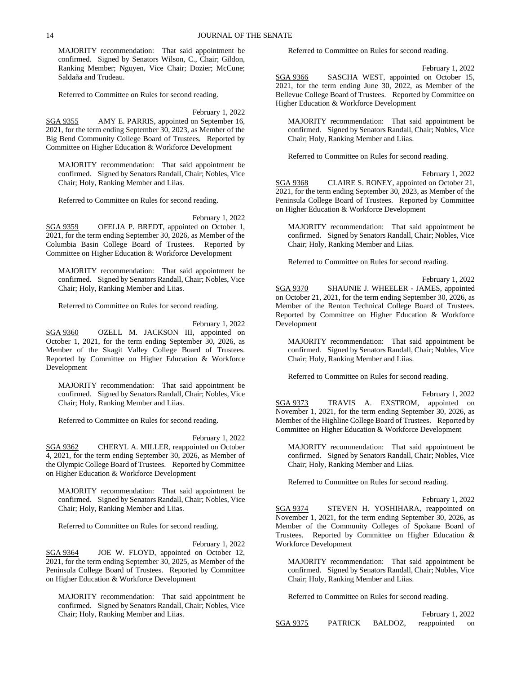MAJORITY recommendation: That said appointment be confirmed. Signed by Senators Wilson, C., Chair; Gildon, Ranking Member; Nguyen, Vice Chair; Dozier; McCune; Saldaña and Trudeau.

Referred to Committee on Rules for second reading.

February 1, 2022

SGA 9355 AMY E. PARRIS, appointed on September 16, 2021, for the term ending September 30, 2023, as Member of the Big Bend Community College Board of Trustees. Reported by Committee on Higher Education & Workforce Development

MAJORITY recommendation: That said appointment be confirmed. Signed by Senators Randall, Chair; Nobles, Vice Chair; Holy, Ranking Member and Liias.

Referred to Committee on Rules for second reading.

February 1, 2022

SGA 9359 OFELIA P. BREDT, appointed on October 1, 2021, for the term ending September 30, 2026, as Member of the Columbia Basin College Board of Trustees. Reported by Committee on Higher Education & Workforce Development

MAJORITY recommendation: That said appointment be confirmed. Signed by Senators Randall, Chair; Nobles, Vice Chair; Holy, Ranking Member and Liias.

Referred to Committee on Rules for second reading.

February 1, 2022

SGA 9360 OZELL M. JACKSON III, appointed on October 1, 2021, for the term ending September 30, 2026, as Member of the Skagit Valley College Board of Trustees. Reported by Committee on Higher Education & Workforce Development

MAJORITY recommendation: That said appointment be confirmed. Signed by Senators Randall, Chair; Nobles, Vice Chair; Holy, Ranking Member and Liias.

Referred to Committee on Rules for second reading.

February 1, 2022 SGA 9362 CHERYL A. MILLER, reappointed on October 4, 2021, for the term ending September 30, 2026, as Member of the Olympic College Board of Trustees. Reported by Committee on Higher Education & Workforce Development

MAJORITY recommendation: That said appointment be confirmed. Signed by Senators Randall, Chair; Nobles, Vice Chair; Holy, Ranking Member and Liias.

Referred to Committee on Rules for second reading.

February 1, 2022 SGA 9364 JOE W. FLOYD, appointed on October 12, 2021, for the term ending September 30, 2025, as Member of the Peninsula College Board of Trustees. Reported by Committee on Higher Education & Workforce Development

MAJORITY recommendation: That said appointment be confirmed. Signed by Senators Randall, Chair; Nobles, Vice Chair; Holy, Ranking Member and Liias.

Referred to Committee on Rules for second reading.

February 1, 2022

SGA 9366 SASCHA WEST, appointed on October 15, 2021, for the term ending June 30, 2022, as Member of the Bellevue College Board of Trustees. Reported by Committee on Higher Education & Workforce Development

MAJORITY recommendation: That said appointment be confirmed. Signed by Senators Randall, Chair; Nobles, Vice Chair; Holy, Ranking Member and Liias.

Referred to Committee on Rules for second reading.

February 1, 2022

SGA 9368 CLAIRE S. RONEY, appointed on October 21, 2021, for the term ending September 30, 2023, as Member of the Peninsula College Board of Trustees. Reported by Committee on Higher Education & Workforce Development

MAJORITY recommendation: That said appointment be confirmed. Signed by Senators Randall, Chair; Nobles, Vice Chair; Holy, Ranking Member and Liias.

Referred to Committee on Rules for second reading.

February 1, 2022 SGA 9370 SHAUNIE J. WHEELER - JAMES, appointed on October 21, 2021, for the term ending September 30, 2026, as Member of the Renton Technical College Board of Trustees. Reported by Committee on Higher Education & Workforce Development

MAJORITY recommendation: That said appointment be confirmed. Signed by Senators Randall, Chair; Nobles, Vice Chair; Holy, Ranking Member and Liias.

Referred to Committee on Rules for second reading.

February 1, 2022 SGA 9373 TRAVIS A. EXSTROM, appointed on November 1, 2021, for the term ending September 30, 2026, as Member of the Highline College Board of Trustees. Reported by Committee on Higher Education & Workforce Development

MAJORITY recommendation: That said appointment be confirmed. Signed by Senators Randall, Chair; Nobles, Vice Chair; Holy, Ranking Member and Liias.

Referred to Committee on Rules for second reading.

February 1, 2022

SGA 9374 STEVEN H. YOSHIHARA, reappointed on November 1, 2021, for the term ending September 30, 2026, as Member of the Community Colleges of Spokane Board of Trustees. Reported by Committee on Higher Education & Workforce Development

MAJORITY recommendation: That said appointment be confirmed. Signed by Senators Randall, Chair; Nobles, Vice Chair; Holy, Ranking Member and Liias.

Referred to Committee on Rules for second reading.

|          |                |         | February 1, 2022 |  |
|----------|----------------|---------|------------------|--|
| SGA 9375 | <b>PATRICK</b> | BALDOZ, | reappointed on   |  |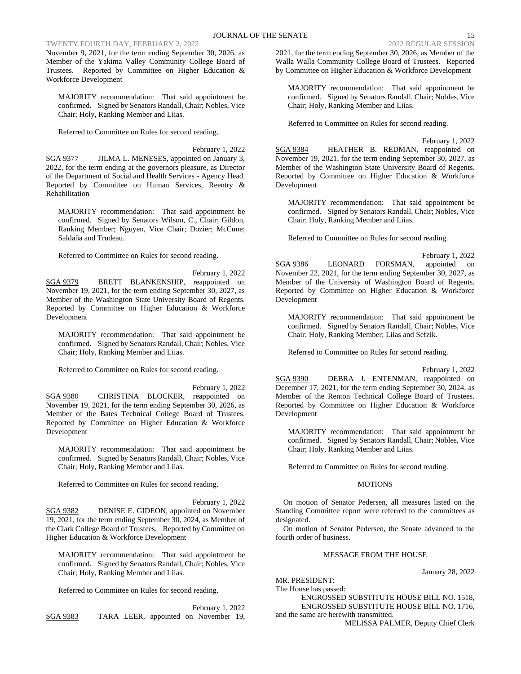# TWENTY FOURTH DAY, FEBRUARY 2, 2022 2022 2022 2022 2022 REGULAR SESSION

November 9, 2021, for the term ending September 30, 2026, as Member of the Yakima Valley Community College Board of Trustees. Reported by Committee on Higher Education & Workforce Development

MAJORITY recommendation: That said appointment be confirmed. Signed by Senators Randall, Chair; Nobles, Vice Chair; Holy, Ranking Member and Liias.

Referred to Committee on Rules for second reading.

February 1, 2022 SGA 9377 JILMA L. MENESES, appointed on January 3, 2022, for the term ending at the governors pleasure, as Director of the Department of Social and Health Services - Agency Head. Reported by Committee on Human Services, Reentry & Rehabilitation

MAJORITY recommendation: That said appointment be confirmed. Signed by Senators Wilson, C., Chair; Gildon, Ranking Member; Nguyen, Vice Chair; Dozier; McCune; Saldaña and Trudeau.

Referred to Committee on Rules for second reading.

February 1, 2022 SGA 9379 BRETT BLANKENSHIP, reappointed on November 19, 2021, for the term ending September 30, 2027, as Member of the Washington State University Board of Regents. Reported by Committee on Higher Education & Workforce Development

MAJORITY recommendation: That said appointment be confirmed. Signed by Senators Randall, Chair; Nobles, Vice Chair; Holy, Ranking Member and Liias.

Referred to Committee on Rules for second reading.

February 1, 2022 SGA 9380 CHRISTINA BLOCKER, reappointed on November 19, 2021, for the term ending September 30, 2026, as Member of the Bates Technical College Board of Trustees. Reported by Committee on Higher Education & Workforce Development

MAJORITY recommendation: That said appointment be confirmed. Signed by Senators Randall, Chair; Nobles, Vice Chair; Holy, Ranking Member and Liias.

Referred to Committee on Rules for second reading.

February 1, 2022 SGA 9382 DENISE E. GIDEON, appointed on November 19, 2021, for the term ending September 30, 2024, as Member of the Clark College Board of Trustees. Reported by Committee on Higher Education & Workforce Development

MAJORITY recommendation: That said appointment be confirmed. Signed by Senators Randall, Chair; Nobles, Vice Chair; Holy, Ranking Member and Liias.

Referred to Committee on Rules for second reading.

February 1, 2022 SGA 9383 TARA LEER, appointed on November 19, 2021, for the term ending September 30, 2026, as Member of the Walla Walla Community College Board of Trustees. Reported by Committee on Higher Education & Workforce Development

MAJORITY recommendation: That said appointment be confirmed. Signed by Senators Randall, Chair; Nobles, Vice Chair; Holy, Ranking Member and Liias.

Referred to Committee on Rules for second reading.

February 1, 2022 SGA 9384 HEATHER B. REDMAN, reappointed on November 19, 2021, for the term ending September 30, 2027, as Member of the Washington State University Board of Regents. Reported by Committee on Higher Education & Workforce Development

MAJORITY recommendation: That said appointment be confirmed. Signed by Senators Randall, Chair; Nobles, Vice Chair; Holy, Ranking Member and Liias.

Referred to Committee on Rules for second reading.

February 1, 2022 SGA 9386 LEONARD FORSMAN, appointed on November 22, 2021, for the term ending September 30, 2027, as Member of the University of Washington Board of Regents. Reported by Committee on Higher Education & Workforce Development

MAJORITY recommendation: That said appointment be confirmed. Signed by Senators Randall, Chair; Nobles, Vice Chair; Holy, Ranking Member; Liias and Sefzik.

Referred to Committee on Rules for second reading.

February 1, 2022

SGA 9390 DEBRA J. ENTENMAN, reappointed on December 17, 2021, for the term ending September 30, 2024, as Member of the Renton Technical College Board of Trustees. Reported by Committee on Higher Education & Workforce Development

MAJORITY recommendation: That said appointment be confirmed. Signed by Senators Randall, Chair; Nobles, Vice Chair; Holy, Ranking Member and Liias.

Referred to Committee on Rules for second reading.

## MOTIONS

On motion of Senator Pedersen, all measures listed on the Standing Committee report were referred to the committees as designated.

On motion of Senator Pedersen, the Senate advanced to the fourth order of business.

## MESSAGE FROM THE HOUSE

January 28, 2022

MR. PRESIDENT:

The House has passed:

ENGROSSED SUBSTITUTE HOUSE BILL NO. 1518, ENGROSSED SUBSTITUTE HOUSE BILL NO. 1716,

and the same are herewith transmitted.

MELISSA PALMER, Deputy Chief Clerk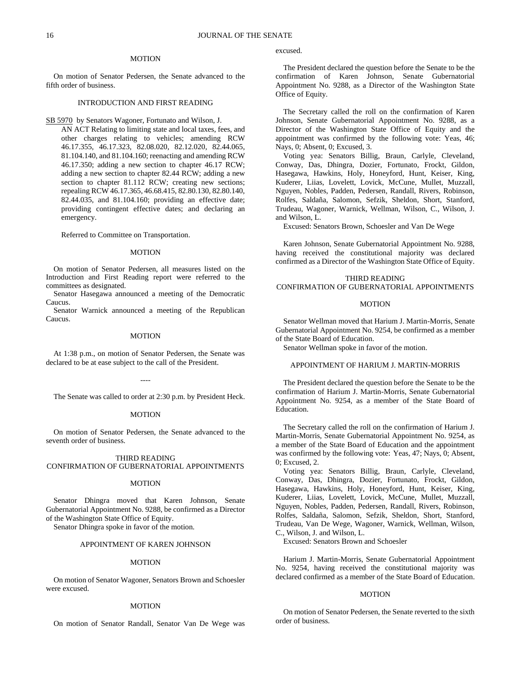#### MOTION

On motion of Senator Pedersen, the Senate advanced to the fifth order of business.

## INTRODUCTION AND FIRST READING

SB 5970 by Senators Wagoner, Fortunato and Wilson, J.

AN ACT Relating to limiting state and local taxes, fees, and other charges relating to vehicles; amending RCW 46.17.355, 46.17.323, 82.08.020, 82.12.020, 82.44.065, 81.104.140, and 81.104.160; reenacting and amending RCW 46.17.350; adding a new section to chapter 46.17 RCW; adding a new section to chapter 82.44 RCW; adding a new section to chapter 81.112 RCW; creating new sections; repealing RCW 46.17.365, 46.68.415, 82.80.130, 82.80.140, 82.44.035, and 81.104.160; providing an effective date; providing contingent effective dates; and declaring an emergency.

Referred to Committee on Transportation.

#### MOTION

On motion of Senator Pedersen, all measures listed on the Introduction and First Reading report were referred to the committees as designated.

Senator Hasegawa announced a meeting of the Democratic Caucus.

Senator Warnick announced a meeting of the Republican Caucus.

## MOTION

At 1:38 p.m., on motion of Senator Pedersen, the Senate was declared to be at ease subject to the call of the President.

----

The Senate was called to order at 2:30 p.m. by President Heck.

#### **MOTION**

On motion of Senator Pedersen, the Senate advanced to the seventh order of business.

THIRD READING CONFIRMATION OF GUBERNATORIAL APPOINTMENTS

## MOTION

Senator Dhingra moved that Karen Johnson, Senate Gubernatorial Appointment No. 9288, be confirmed as a Director of the Washington State Office of Equity.

Senator Dhingra spoke in favor of the motion.

## APPOINTMENT OF KAREN JOHNSON

#### MOTION

On motion of Senator Wagoner, Senators Brown and Schoesler were excused.

#### **MOTION**

On motion of Senator Randall, Senator Van De Wege was

excused.

The President declared the question before the Senate to be the confirmation of Karen Johnson, Senate Gubernatorial Appointment No. 9288, as a Director of the Washington State Office of Equity.

The Secretary called the roll on the confirmation of Karen Johnson, Senate Gubernatorial Appointment No. 9288, as a Director of the Washington State Office of Equity and the appointment was confirmed by the following vote: Yeas, 46; Nays, 0; Absent, 0; Excused, 3.

Voting yea: Senators Billig, Braun, Carlyle, Cleveland, Conway, Das, Dhingra, Dozier, Fortunato, Frockt, Gildon, Hasegawa, Hawkins, Holy, Honeyford, Hunt, Keiser, King, Kuderer, Liias, Lovelett, Lovick, McCune, Mullet, Muzzall, Nguyen, Nobles, Padden, Pedersen, Randall, Rivers, Robinson, Rolfes, Saldaña, Salomon, Sefzik, Sheldon, Short, Stanford, Trudeau, Wagoner, Warnick, Wellman, Wilson, C., Wilson, J. and Wilson, L.

Excused: Senators Brown, Schoesler and Van De Wege

Karen Johnson, Senate Gubernatorial Appointment No. 9288, having received the constitutional majority was declared confirmed as a Director of the Washington State Office of Equity.

## THIRD READING

# CONFIRMATION OF GUBERNATORIAL APPOINTMENTS

## MOTION

Senator Wellman moved that Harium J. Martin-Morris, Senate Gubernatorial Appointment No. 9254, be confirmed as a member of the State Board of Education.

Senator Wellman spoke in favor of the motion.

## APPOINTMENT OF HARIUM J. MARTIN-MORRIS

The President declared the question before the Senate to be the confirmation of Harium J. Martin-Morris, Senate Gubernatorial Appointment No. 9254, as a member of the State Board of Education.

The Secretary called the roll on the confirmation of Harium J. Martin-Morris, Senate Gubernatorial Appointment No. 9254, as a member of the State Board of Education and the appointment was confirmed by the following vote: Yeas, 47; Nays, 0; Absent, 0; Excused, 2.

Voting yea: Senators Billig, Braun, Carlyle, Cleveland, Conway, Das, Dhingra, Dozier, Fortunato, Frockt, Gildon, Hasegawa, Hawkins, Holy, Honeyford, Hunt, Keiser, King, Kuderer, Liias, Lovelett, Lovick, McCune, Mullet, Muzzall, Nguyen, Nobles, Padden, Pedersen, Randall, Rivers, Robinson, Rolfes, Saldaña, Salomon, Sefzik, Sheldon, Short, Stanford, Trudeau, Van De Wege, Wagoner, Warnick, Wellman, Wilson, C., Wilson, J. and Wilson, L.

Excused: Senators Brown and Schoesler

Harium J. Martin-Morris, Senate Gubernatorial Appointment No. 9254, having received the constitutional majority was declared confirmed as a member of the State Board of Education.

#### MOTION

On motion of Senator Pedersen, the Senate reverted to the sixth order of business.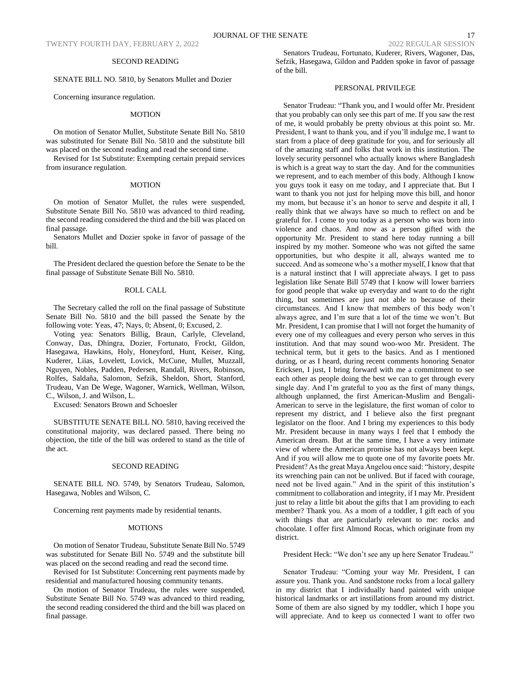## SECOND READING

## SENATE BILL NO. 5810, by Senators Mullet and Dozier

Concerning insurance regulation.

#### MOTION

On motion of Senator Mullet, Substitute Senate Bill No. 5810 was substituted for Senate Bill No. 5810 and the substitute bill was placed on the second reading and read the second time.

Revised for 1st Substitute: Exempting certain prepaid services from insurance regulation.

#### **MOTION**

On motion of Senator Mullet, the rules were suspended, Substitute Senate Bill No. 5810 was advanced to third reading, the second reading considered the third and the bill was placed on final passage.

Senators Mullet and Dozier spoke in favor of passage of the bill.

The President declared the question before the Senate to be the final passage of Substitute Senate Bill No. 5810.

## ROLL CALL

The Secretary called the roll on the final passage of Substitute Senate Bill No. 5810 and the bill passed the Senate by the following vote: Yeas, 47; Nays, 0; Absent, 0; Excused, 2.

Voting yea: Senators Billig, Braun, Carlyle, Cleveland, Conway, Das, Dhingra, Dozier, Fortunato, Frockt, Gildon, Hasegawa, Hawkins, Holy, Honeyford, Hunt, Keiser, King, Kuderer, Liias, Lovelett, Lovick, McCune, Mullet, Muzzall, Nguyen, Nobles, Padden, Pedersen, Randall, Rivers, Robinson, Rolfes, Saldaña, Salomon, Sefzik, Sheldon, Short, Stanford, Trudeau, Van De Wege, Wagoner, Warnick, Wellman, Wilson, C., Wilson, J. and Wilson, L.

Excused: Senators Brown and Schoesler

SUBSTITUTE SENATE BILL NO. 5810, having received the constitutional majority, was declared passed. There being no objection, the title of the bill was ordered to stand as the title of the act.

#### SECOND READING

SENATE BILL NO. 5749, by Senators Trudeau, Salomon, Hasegawa, Nobles and Wilson, C.

Concerning rent payments made by residential tenants.

## MOTIONS

On motion of Senator Trudeau, Substitute Senate Bill No. 5749 was substituted for Senate Bill No. 5749 and the substitute bill was placed on the second reading and read the second time.

Revised for 1st Substitute: Concerning rent payments made by residential and manufactured housing community tenants.

On motion of Senator Trudeau, the rules were suspended, Substitute Senate Bill No. 5749 was advanced to third reading, the second reading considered the third and the bill was placed on final passage.

Senators Trudeau, Fortunato, Kuderer, Rivers, Wagoner, Das, Sefzik, Hasegawa, Gildon and Padden spoke in favor of passage of the bill.

## PERSONAL PRIVILEGE

Senator Trudeau: "Thank you, and I would offer Mr. President that you probably can only see this part of me. If you saw the rest of me, it would probably be pretty obvious at this point so. Mr. President, I want to thank you, and if you'll indulge me, I want to start from a place of deep gratitude for you, and for seriously all of the amazing staff and folks that work in this institution. The lovely security personnel who actually knows where Bangladesh is which is a great way to start the day. And for the communities we represent, and to each member of this body. Although I know you guys took it easy on me today, and I appreciate that. But I want to thank you not just for helping move this bill, and honor my mom, but because it's an honor to serve and despite it all, I really think that we always have so much to reflect on and be grateful for. I come to you today as a person who was born into violence and chaos. And now as a person gifted with the opportunity Mr. President to stand here today running a bill inspired by my mother. Someone who was not gifted the same opportunities, but who despite it all, always wanted me to succeed. And as someone who's a mother myself, I know that that is a natural instinct that I will appreciate always. I get to pass legislation like Senate Bill 5749 that I know will lower barriers for good people that wake up everyday and want to do the right thing, but sometimes are just not able to because of their circumstances. And I know that members of this body won't always agree, and I'm sure that a lot of the time we won't. But Mr. President, I can promise that I will not forget the humanity of every one of my colleagues and every person who serves in this institution. And that may sound woo-woo Mr. President. The technical term, but it gets to the basics. And as I mentioned during, or as I heard, during recent comments honoring Senator Ericksen, I just, I bring forward with me a commitment to see each other as people doing the best we can to get through every single day. And I'm grateful to you as the first of many things, although unplanned, the first American-Muslim and Bengali-American to serve in the legislature, the first woman of color to represent my district, and I believe also the first pregnant legislator on the floor. And I bring my experiences to this body Mr. President because in many ways I feel that I embody the American dream. But at the same time, I have a very intimate view of where the American promise has not always been kept. And if you will allow me to quote one of my favorite poets Mr. President? As the great Maya Angelou once said: "history, despite its wrenching pain can not be unlived. But if faced with courage, need not be lived again." And in the spirit of this institution's commitment to collaboration and integrity, if I may Mr. President just to relay a little bit about the gifts that I am providing to each member? Thank you. As a mom of a toddler, I gift each of you with things that are particularly relevant to me: rocks and chocolate. I offer first Almond Rocas, which originate from my district.

President Heck: "We don't see any up here Senator Trudeau."

Senator Trudeau: "Coming your way Mr. President, I can assure you. Thank you. And sandstone rocks from a local gallery in my district that I individually hand painted with unique historical landmarks or art instillations from around my district. Some of them are also signed by my toddler, which I hope you will appreciate. And to keep us connected I want to offer two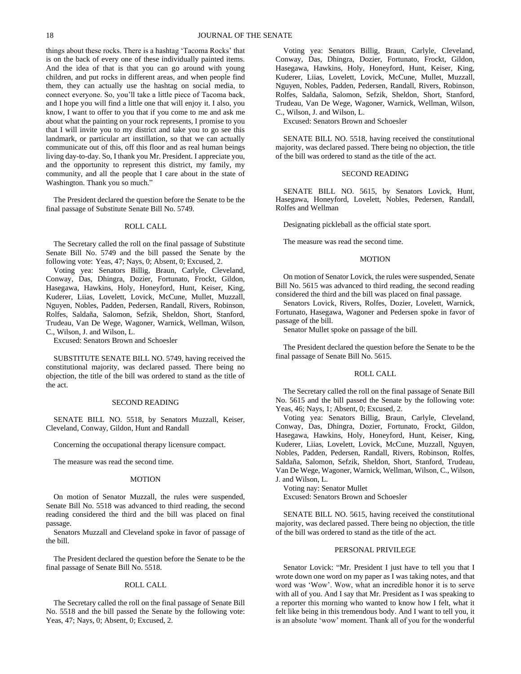things about these rocks. There is a hashtag 'Tacoma Rocks' that is on the back of every one of these individually painted items. And the idea of that is that you can go around with young children, and put rocks in different areas, and when people find them, they can actually use the hashtag on social media, to connect everyone. So, you'll take a little piece of Tacoma back, and I hope you will find a little one that will enjoy it. I also, you know, I want to offer to you that if you come to me and ask me about what the painting on your rock represents, I promise to you that I will invite you to my district and take you to go see this landmark, or particular art instillation, so that we can actually communicate out of this, off this floor and as real human beings living day-to-day. So, I thank you Mr. President. I appreciate you, and the opportunity to represent this district, my family, my community, and all the people that I care about in the state of Washington. Thank you so much."

The President declared the question before the Senate to be the final passage of Substitute Senate Bill No. 5749.

## ROLL CALL

The Secretary called the roll on the final passage of Substitute Senate Bill No. 5749 and the bill passed the Senate by the following vote: Yeas, 47; Nays, 0; Absent, 0; Excused, 2.

Voting yea: Senators Billig, Braun, Carlyle, Cleveland, Conway, Das, Dhingra, Dozier, Fortunato, Frockt, Gildon, Hasegawa, Hawkins, Holy, Honeyford, Hunt, Keiser, King, Kuderer, Liias, Lovelett, Lovick, McCune, Mullet, Muzzall, Nguyen, Nobles, Padden, Pedersen, Randall, Rivers, Robinson, Rolfes, Saldaña, Salomon, Sefzik, Sheldon, Short, Stanford, Trudeau, Van De Wege, Wagoner, Warnick, Wellman, Wilson, C., Wilson, J. and Wilson, L.

Excused: Senators Brown and Schoesler

SUBSTITUTE SENATE BILL NO. 5749, having received the constitutional majority, was declared passed. There being no objection, the title of the bill was ordered to stand as the title of the act.

#### SECOND READING

SENATE BILL NO. 5518, by Senators Muzzall, Keiser, Cleveland, Conway, Gildon, Hunt and Randall

Concerning the occupational therapy licensure compact.

The measure was read the second time.

#### MOTION

On motion of Senator Muzzall, the rules were suspended, Senate Bill No. 5518 was advanced to third reading, the second reading considered the third and the bill was placed on final passage.

Senators Muzzall and Cleveland spoke in favor of passage of the bill.

The President declared the question before the Senate to be the final passage of Senate Bill No. 5518.

## ROLL CALL

The Secretary called the roll on the final passage of Senate Bill No. 5518 and the bill passed the Senate by the following vote: Yeas, 47; Nays, 0; Absent, 0; Excused, 2.

Voting yea: Senators Billig, Braun, Carlyle, Cleveland, Conway, Das, Dhingra, Dozier, Fortunato, Frockt, Gildon, Hasegawa, Hawkins, Holy, Honeyford, Hunt, Keiser, King, Kuderer, Liias, Lovelett, Lovick, McCune, Mullet, Muzzall, Nguyen, Nobles, Padden, Pedersen, Randall, Rivers, Robinson, Rolfes, Saldaña, Salomon, Sefzik, Sheldon, Short, Stanford, Trudeau, Van De Wege, Wagoner, Warnick, Wellman, Wilson, C., Wilson, J. and Wilson, L.

Excused: Senators Brown and Schoesler

SENATE BILL NO. 5518, having received the constitutional majority, was declared passed. There being no objection, the title of the bill was ordered to stand as the title of the act.

## SECOND READING

SENATE BILL NO. 5615, by Senators Lovick, Hunt, Hasegawa, Honeyford, Lovelett, Nobles, Pedersen, Randall, Rolfes and Wellman

Designating pickleball as the official state sport.

The measure was read the second time.

#### MOTION

On motion of Senator Lovick, the rules were suspended, Senate Bill No. 5615 was advanced to third reading, the second reading considered the third and the bill was placed on final passage.

Senators Lovick, Rivers, Rolfes, Dozier, Lovelett, Warnick, Fortunato, Hasegawa, Wagoner and Pedersen spoke in favor of passage of the bill.

Senator Mullet spoke on passage of the bill.

The President declared the question before the Senate to be the final passage of Senate Bill No. 5615.

## ROLL CALL

The Secretary called the roll on the final passage of Senate Bill No. 5615 and the bill passed the Senate by the following vote: Yeas, 46; Nays, 1; Absent, 0; Excused, 2.

Voting yea: Senators Billig, Braun, Carlyle, Cleveland, Conway, Das, Dhingra, Dozier, Fortunato, Frockt, Gildon, Hasegawa, Hawkins, Holy, Honeyford, Hunt, Keiser, King, Kuderer, Liias, Lovelett, Lovick, McCune, Muzzall, Nguyen, Nobles, Padden, Pedersen, Randall, Rivers, Robinson, Rolfes, Saldaña, Salomon, Sefzik, Sheldon, Short, Stanford, Trudeau, Van De Wege, Wagoner, Warnick, Wellman, Wilson, C., Wilson, J. and Wilson, L.

Voting nay: Senator Mullet Excused: Senators Brown and Schoesler

SENATE BILL NO. 5615, having received the constitutional majority, was declared passed. There being no objection, the title of the bill was ordered to stand as the title of the act.

## PERSONAL PRIVILEGE

Senator Lovick: "Mr. President I just have to tell you that I wrote down one word on my paper as I was taking notes, and that word was 'Wow'. Wow, what an incredible honor it is to serve with all of you. And I say that Mr. President as I was speaking to a reporter this morning who wanted to know how I felt, what it felt like being in this tremendous body. And I want to tell you, it is an absolute 'wow' moment. Thank all of you for the wonderful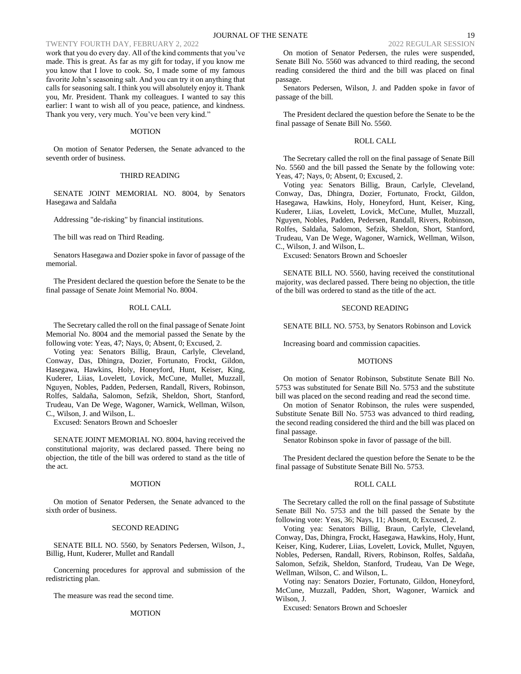# TWENTY FOURTH DAY, FEBRUARY 2, 2022 2022 2022 2022 2022 REGULAR SESSION

work that you do every day. All of the kind comments that you've made. This is great. As far as my gift for today, if you know me you know that I love to cook. So, I made some of my famous favorite John's seasoning salt. And you can try it on anything that calls for seasoning salt. I think you will absolutely enjoy it. Thank you, Mr. President. Thank my colleagues. I wanted to say this earlier: I want to wish all of you peace, patience, and kindness. Thank you very, very much. You've been very kind."

## MOTION

On motion of Senator Pedersen, the Senate advanced to the seventh order of business.

#### THIRD READING

SENATE JOINT MEMORIAL NO. 8004, by Senators Hasegawa and Saldaña

Addressing "de-risking" by financial institutions.

The bill was read on Third Reading.

Senators Hasegawa and Dozier spoke in favor of passage of the memorial.

The President declared the question before the Senate to be the final passage of Senate Joint Memorial No. 8004.

## ROLL CALL

The Secretary called the roll on the final passage of Senate Joint Memorial No. 8004 and the memorial passed the Senate by the following vote: Yeas, 47; Nays, 0; Absent, 0; Excused, 2.

Voting yea: Senators Billig, Braun, Carlyle, Cleveland, Conway, Das, Dhingra, Dozier, Fortunato, Frockt, Gildon, Hasegawa, Hawkins, Holy, Honeyford, Hunt, Keiser, King, Kuderer, Liias, Lovelett, Lovick, McCune, Mullet, Muzzall, Nguyen, Nobles, Padden, Pedersen, Randall, Rivers, Robinson, Rolfes, Saldaña, Salomon, Sefzik, Sheldon, Short, Stanford, Trudeau, Van De Wege, Wagoner, Warnick, Wellman, Wilson, C., Wilson, J. and Wilson, L.

Excused: Senators Brown and Schoesler

SENATE JOINT MEMORIAL NO. 8004, having received the constitutional majority, was declared passed. There being no objection, the title of the bill was ordered to stand as the title of the act.

## MOTION

On motion of Senator Pedersen, the Senate advanced to the sixth order of business.

#### SECOND READING

SENATE BILL NO. 5560, by Senators Pedersen, Wilson, J., Billig, Hunt, Kuderer, Mullet and Randall

Concerning procedures for approval and submission of the redistricting plan.

The measure was read the second time.

## **MOTION**

passage. Senators Pedersen, Wilson, J. and Padden spoke in favor of passage of the bill.

The President declared the question before the Senate to be the final passage of Senate Bill No. 5560.

#### ROLL CALL

The Secretary called the roll on the final passage of Senate Bill No. 5560 and the bill passed the Senate by the following vote: Yeas, 47; Nays, 0; Absent, 0; Excused, 2.

Voting yea: Senators Billig, Braun, Carlyle, Cleveland, Conway, Das, Dhingra, Dozier, Fortunato, Frockt, Gildon, Hasegawa, Hawkins, Holy, Honeyford, Hunt, Keiser, King, Kuderer, Liias, Lovelett, Lovick, McCune, Mullet, Muzzall, Nguyen, Nobles, Padden, Pedersen, Randall, Rivers, Robinson, Rolfes, Saldaña, Salomon, Sefzik, Sheldon, Short, Stanford, Trudeau, Van De Wege, Wagoner, Warnick, Wellman, Wilson, C., Wilson, J. and Wilson, L.

Excused: Senators Brown and Schoesler

SENATE BILL NO. 5560, having received the constitutional majority, was declared passed. There being no objection, the title of the bill was ordered to stand as the title of the act.

## SECOND READING

SENATE BILL NO. 5753, by Senators Robinson and Lovick

Increasing board and commission capacities.

#### MOTIONS

On motion of Senator Robinson, Substitute Senate Bill No. 5753 was substituted for Senate Bill No. 5753 and the substitute bill was placed on the second reading and read the second time.

On motion of Senator Robinson, the rules were suspended, Substitute Senate Bill No. 5753 was advanced to third reading, the second reading considered the third and the bill was placed on final passage.

Senator Robinson spoke in favor of passage of the bill.

The President declared the question before the Senate to be the final passage of Substitute Senate Bill No. 5753.

#### ROLL CALL

The Secretary called the roll on the final passage of Substitute Senate Bill No. 5753 and the bill passed the Senate by the following vote: Yeas, 36; Nays, 11; Absent, 0; Excused, 2.

Voting yea: Senators Billig, Braun, Carlyle, Cleveland, Conway, Das, Dhingra, Frockt, Hasegawa, Hawkins, Holy, Hunt, Keiser, King, Kuderer, Liias, Lovelett, Lovick, Mullet, Nguyen, Nobles, Pedersen, Randall, Rivers, Robinson, Rolfes, Saldaña, Salomon, Sefzik, Sheldon, Stanford, Trudeau, Van De Wege, Wellman, Wilson, C. and Wilson, L.

Voting nay: Senators Dozier, Fortunato, Gildon, Honeyford, McCune, Muzzall, Padden, Short, Wagoner, Warnick and Wilson, J.

Excused: Senators Brown and Schoesler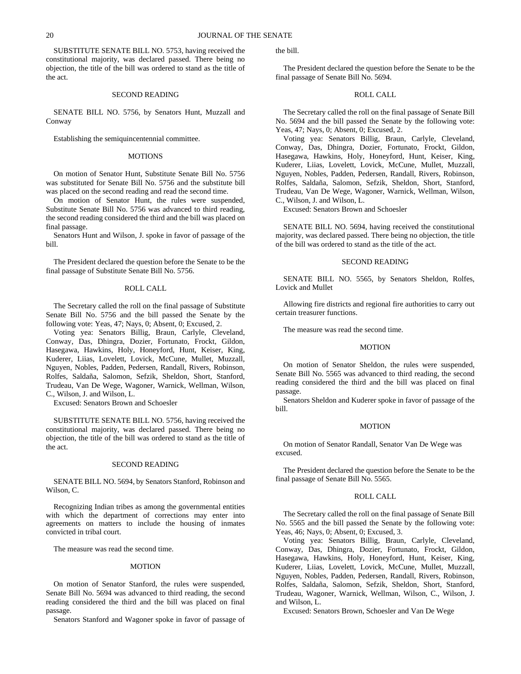SUBSTITUTE SENATE BILL NO. 5753, having received the constitutional majority, was declared passed. There being no objection, the title of the bill was ordered to stand as the title of the act.

## SECOND READING

SENATE BILL NO. 5756, by Senators Hunt, Muzzall and Conway

Establishing the semiquincentennial committee.

#### MOTIONS

On motion of Senator Hunt, Substitute Senate Bill No. 5756 was substituted for Senate Bill No. 5756 and the substitute bill was placed on the second reading and read the second time.

On motion of Senator Hunt, the rules were suspended, Substitute Senate Bill No. 5756 was advanced to third reading, the second reading considered the third and the bill was placed on final passage.

Senators Hunt and Wilson, J. spoke in favor of passage of the bill.

The President declared the question before the Senate to be the final passage of Substitute Senate Bill No. 5756.

#### ROLL CALL

The Secretary called the roll on the final passage of Substitute Senate Bill No. 5756 and the bill passed the Senate by the following vote: Yeas, 47; Nays, 0; Absent, 0; Excused, 2.

Voting yea: Senators Billig, Braun, Carlyle, Cleveland, Conway, Das, Dhingra, Dozier, Fortunato, Frockt, Gildon, Hasegawa, Hawkins, Holy, Honeyford, Hunt, Keiser, King, Kuderer, Liias, Lovelett, Lovick, McCune, Mullet, Muzzall, Nguyen, Nobles, Padden, Pedersen, Randall, Rivers, Robinson, Rolfes, Saldaña, Salomon, Sefzik, Sheldon, Short, Stanford, Trudeau, Van De Wege, Wagoner, Warnick, Wellman, Wilson, C., Wilson, J. and Wilson, L.

Excused: Senators Brown and Schoesler

SUBSTITUTE SENATE BILL NO. 5756, having received the constitutional majority, was declared passed. There being no objection, the title of the bill was ordered to stand as the title of the act.

#### SECOND READING

SENATE BILL NO. 5694, by Senators Stanford, Robinson and Wilson, C.

Recognizing Indian tribes as among the governmental entities with which the department of corrections may enter into agreements on matters to include the housing of inmates convicted in tribal court.

The measure was read the second time.

## MOTION

On motion of Senator Stanford, the rules were suspended, Senate Bill No. 5694 was advanced to third reading, the second reading considered the third and the bill was placed on final passage.

Senators Stanford and Wagoner spoke in favor of passage of

the bill.

The President declared the question before the Senate to be the final passage of Senate Bill No. 5694.

## ROLL CALL

The Secretary called the roll on the final passage of Senate Bill No. 5694 and the bill passed the Senate by the following vote: Yeas, 47; Nays, 0; Absent, 0; Excused, 2.

Voting yea: Senators Billig, Braun, Carlyle, Cleveland, Conway, Das, Dhingra, Dozier, Fortunato, Frockt, Gildon, Hasegawa, Hawkins, Holy, Honeyford, Hunt, Keiser, King, Kuderer, Liias, Lovelett, Lovick, McCune, Mullet, Muzzall, Nguyen, Nobles, Padden, Pedersen, Randall, Rivers, Robinson, Rolfes, Saldaña, Salomon, Sefzik, Sheldon, Short, Stanford, Trudeau, Van De Wege, Wagoner, Warnick, Wellman, Wilson, C., Wilson, J. and Wilson, L.

Excused: Senators Brown and Schoesler

SENATE BILL NO. 5694, having received the constitutional majority, was declared passed. There being no objection, the title of the bill was ordered to stand as the title of the act.

## SECOND READING

SENATE BILL NO. 5565, by Senators Sheldon, Rolfes, Lovick and Mullet

Allowing fire districts and regional fire authorities to carry out certain treasurer functions.

The measure was read the second time.

#### MOTION

On motion of Senator Sheldon, the rules were suspended, Senate Bill No. 5565 was advanced to third reading, the second reading considered the third and the bill was placed on final passage.

Senators Sheldon and Kuderer spoke in favor of passage of the bill.

#### MOTION

On motion of Senator Randall, Senator Van De Wege was excused.

The President declared the question before the Senate to be the final passage of Senate Bill No. 5565.

## ROLL CALL

The Secretary called the roll on the final passage of Senate Bill No. 5565 and the bill passed the Senate by the following vote: Yeas, 46; Nays, 0; Absent, 0; Excused, 3.

Voting yea: Senators Billig, Braun, Carlyle, Cleveland, Conway, Das, Dhingra, Dozier, Fortunato, Frockt, Gildon, Hasegawa, Hawkins, Holy, Honeyford, Hunt, Keiser, King, Kuderer, Liias, Lovelett, Lovick, McCune, Mullet, Muzzall, Nguyen, Nobles, Padden, Pedersen, Randall, Rivers, Robinson, Rolfes, Saldaña, Salomon, Sefzik, Sheldon, Short, Stanford, Trudeau, Wagoner, Warnick, Wellman, Wilson, C., Wilson, J. and Wilson, L.

Excused: Senators Brown, Schoesler and Van De Wege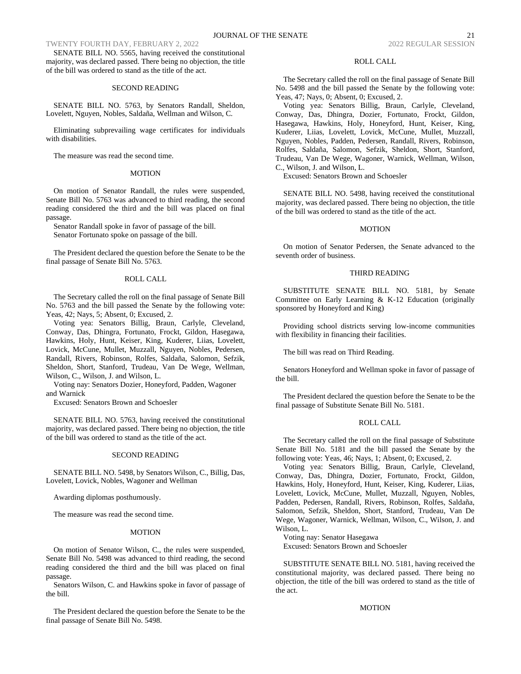TWENTY FOURTH DAY, FEBRUARY 2, 2022

SENATE BILL NO. 5565, having received the constitutional majority, was declared passed. There being no objection, the title of the bill was ordered to stand as the title of the act.

## SECOND READING

SENATE BILL NO. 5763, by Senators Randall, Sheldon, Lovelett, Nguyen, Nobles, Saldaña, Wellman and Wilson, C.

Eliminating subprevailing wage certificates for individuals with disabilities.

The measure was read the second time.

#### MOTION

On motion of Senator Randall, the rules were suspended, Senate Bill No. 5763 was advanced to third reading, the second reading considered the third and the bill was placed on final passage.

Senator Randall spoke in favor of passage of the bill. Senator Fortunato spoke on passage of the bill.

The President declared the question before the Senate to be the final passage of Senate Bill No. 5763.

#### ROLL CALL

The Secretary called the roll on the final passage of Senate Bill No. 5763 and the bill passed the Senate by the following vote: Yeas, 42; Nays, 5; Absent, 0; Excused, 2.

Voting yea: Senators Billig, Braun, Carlyle, Cleveland, Conway, Das, Dhingra, Fortunato, Frockt, Gildon, Hasegawa, Hawkins, Holy, Hunt, Keiser, King, Kuderer, Liias, Lovelett, Lovick, McCune, Mullet, Muzzall, Nguyen, Nobles, Pedersen, Randall, Rivers, Robinson, Rolfes, Saldaña, Salomon, Sefzik, Sheldon, Short, Stanford, Trudeau, Van De Wege, Wellman, Wilson, C., Wilson, J. and Wilson, L.

Voting nay: Senators Dozier, Honeyford, Padden, Wagoner and Warnick

Excused: Senators Brown and Schoesler

SENATE BILL NO. 5763, having received the constitutional majority, was declared passed. There being no objection, the title of the bill was ordered to stand as the title of the act.

## SECOND READING

SENATE BILL NO. 5498, by Senators Wilson, C., Billig, Das, Lovelett, Lovick, Nobles, Wagoner and Wellman

Awarding diplomas posthumously.

The measure was read the second time.

## MOTION

On motion of Senator Wilson, C., the rules were suspended, Senate Bill No. 5498 was advanced to third reading, the second reading considered the third and the bill was placed on final passage.

Senators Wilson, C. and Hawkins spoke in favor of passage of the bill.

The President declared the question before the Senate to be the final passage of Senate Bill No. 5498.

#### ROLL CALL

The Secretary called the roll on the final passage of Senate Bill No. 5498 and the bill passed the Senate by the following vote: Yeas, 47; Nays, 0; Absent, 0; Excused, 2.

Voting yea: Senators Billig, Braun, Carlyle, Cleveland, Conway, Das, Dhingra, Dozier, Fortunato, Frockt, Gildon, Hasegawa, Hawkins, Holy, Honeyford, Hunt, Keiser, King, Kuderer, Liias, Lovelett, Lovick, McCune, Mullet, Muzzall, Nguyen, Nobles, Padden, Pedersen, Randall, Rivers, Robinson, Rolfes, Saldaña, Salomon, Sefzik, Sheldon, Short, Stanford, Trudeau, Van De Wege, Wagoner, Warnick, Wellman, Wilson, C., Wilson, J. and Wilson, L.

Excused: Senators Brown and Schoesler

SENATE BILL NO. 5498, having received the constitutional majority, was declared passed. There being no objection, the title of the bill was ordered to stand as the title of the act.

## MOTION

On motion of Senator Pedersen, the Senate advanced to the seventh order of business.

## THIRD READING

SUBSTITUTE SENATE BILL NO. 5181, by Senate Committee on Early Learning & K-12 Education (originally sponsored by Honeyford and King)

Providing school districts serving low-income communities with flexibility in financing their facilities.

The bill was read on Third Reading.

Senators Honeyford and Wellman spoke in favor of passage of the bill.

The President declared the question before the Senate to be the final passage of Substitute Senate Bill No. 5181.

#### ROLL CALL

The Secretary called the roll on the final passage of Substitute Senate Bill No. 5181 and the bill passed the Senate by the following vote: Yeas, 46; Nays, 1; Absent, 0; Excused, 2.

Voting yea: Senators Billig, Braun, Carlyle, Cleveland, Conway, Das, Dhingra, Dozier, Fortunato, Frockt, Gildon, Hawkins, Holy, Honeyford, Hunt, Keiser, King, Kuderer, Liias, Lovelett, Lovick, McCune, Mullet, Muzzall, Nguyen, Nobles, Padden, Pedersen, Randall, Rivers, Robinson, Rolfes, Saldaña, Salomon, Sefzik, Sheldon, Short, Stanford, Trudeau, Van De Wege, Wagoner, Warnick, Wellman, Wilson, C., Wilson, J. and Wilson, L.

Voting nay: Senator Hasegawa Excused: Senators Brown and Schoesler

SUBSTITUTE SENATE BILL NO. 5181, having received the constitutional majority, was declared passed. There being no objection, the title of the bill was ordered to stand as the title of the act.

## MOTION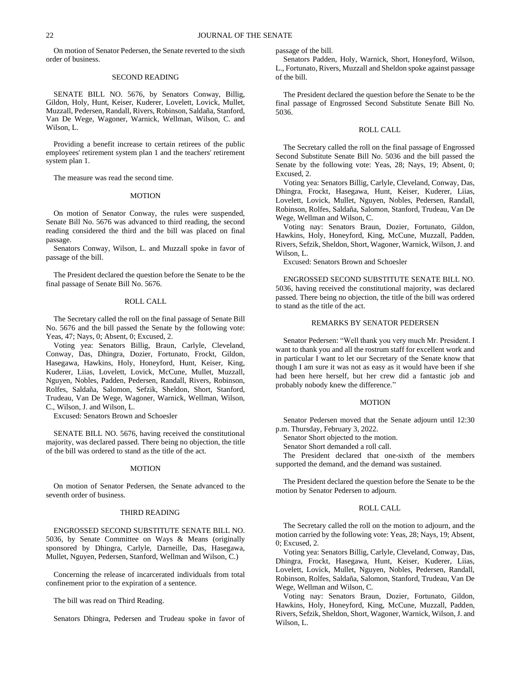On motion of Senator Pedersen, the Senate reverted to the sixth order of business.

#### SECOND READING

SENATE BILL NO. 5676, by Senators Conway, Billig, Gildon, Holy, Hunt, Keiser, Kuderer, Lovelett, Lovick, Mullet, Muzzall, Pedersen, Randall, Rivers, Robinson, Saldaña, Stanford, Van De Wege, Wagoner, Warnick, Wellman, Wilson, C. and Wilson, L.

Providing a benefit increase to certain retirees of the public employees' retirement system plan 1 and the teachers' retirement system plan 1.

The measure was read the second time.

#### MOTION

On motion of Senator Conway, the rules were suspended, Senate Bill No. 5676 was advanced to third reading, the second reading considered the third and the bill was placed on final passage.

Senators Conway, Wilson, L. and Muzzall spoke in favor of passage of the bill.

The President declared the question before the Senate to be the final passage of Senate Bill No. 5676.

#### ROLL CALL

The Secretary called the roll on the final passage of Senate Bill No. 5676 and the bill passed the Senate by the following vote: Yeas, 47; Nays, 0; Absent, 0; Excused, 2.

Voting yea: Senators Billig, Braun, Carlyle, Cleveland, Conway, Das, Dhingra, Dozier, Fortunato, Frockt, Gildon, Hasegawa, Hawkins, Holy, Honeyford, Hunt, Keiser, King, Kuderer, Liias, Lovelett, Lovick, McCune, Mullet, Muzzall, Nguyen, Nobles, Padden, Pedersen, Randall, Rivers, Robinson, Rolfes, Saldaña, Salomon, Sefzik, Sheldon, Short, Stanford, Trudeau, Van De Wege, Wagoner, Warnick, Wellman, Wilson, C., Wilson, J. and Wilson, L.

Excused: Senators Brown and Schoesler

SENATE BILL NO. 5676, having received the constitutional majority, was declared passed. There being no objection, the title of the bill was ordered to stand as the title of the act.

#### **MOTION**

On motion of Senator Pedersen, the Senate advanced to the seventh order of business.

## THIRD READING

ENGROSSED SECOND SUBSTITUTE SENATE BILL NO. 5036, by Senate Committee on Ways & Means (originally sponsored by Dhingra, Carlyle, Darneille, Das, Hasegawa, Mullet, Nguyen, Pedersen, Stanford, Wellman and Wilson, C.)

Concerning the release of incarcerated individuals from total confinement prior to the expiration of a sentence.

The bill was read on Third Reading.

Senators Dhingra, Pedersen and Trudeau spoke in favor of

passage of the bill.

Senators Padden, Holy, Warnick, Short, Honeyford, Wilson, L., Fortunato, Rivers, Muzzall and Sheldon spoke against passage of the bill.

The President declared the question before the Senate to be the final passage of Engrossed Second Substitute Senate Bill No. 5036.

#### ROLL CALL

The Secretary called the roll on the final passage of Engrossed Second Substitute Senate Bill No. 5036 and the bill passed the Senate by the following vote: Yeas, 28; Nays, 19; Absent, 0; Excused, 2.

Voting yea: Senators Billig, Carlyle, Cleveland, Conway, Das, Dhingra, Frockt, Hasegawa, Hunt, Keiser, Kuderer, Liias, Lovelett, Lovick, Mullet, Nguyen, Nobles, Pedersen, Randall, Robinson, Rolfes, Saldaña, Salomon, Stanford, Trudeau, Van De Wege, Wellman and Wilson, C.

Voting nay: Senators Braun, Dozier, Fortunato, Gildon, Hawkins, Holy, Honeyford, King, McCune, Muzzall, Padden, Rivers, Sefzik, Sheldon, Short, Wagoner, Warnick, Wilson, J. and Wilson, L.

Excused: Senators Brown and Schoesler

ENGROSSED SECOND SUBSTITUTE SENATE BILL NO. 5036, having received the constitutional majority, was declared passed. There being no objection, the title of the bill was ordered to stand as the title of the act.

## REMARKS BY SENATOR PEDERSEN

Senator Pedersen: "Well thank you very much Mr. President. I want to thank you and all the rostrum staff for excellent work and in particular I want to let our Secretary of the Senate know that though I am sure it was not as easy as it would have been if she had been here herself, but her crew did a fantastic job and probably nobody knew the difference."

## MOTION

Senator Pedersen moved that the Senate adjourn until 12:30 p.m. Thursday, February 3, 2022.

Senator Short objected to the motion.

Senator Short demanded a roll call.

The President declared that one-sixth of the members supported the demand, and the demand was sustained.

The President declared the question before the Senate to be the motion by Senator Pedersen to adjourn.

#### ROLL CALL

The Secretary called the roll on the motion to adjourn, and the motion carried by the following vote: Yeas, 28; Nays, 19; Absent, 0; Excused, 2.

Voting yea: Senators Billig, Carlyle, Cleveland, Conway, Das, Dhingra, Frockt, Hasegawa, Hunt, Keiser, Kuderer, Liias, Lovelett, Lovick, Mullet, Nguyen, Nobles, Pedersen, Randall, Robinson, Rolfes, Saldaña, Salomon, Stanford, Trudeau, Van De Wege, Wellman and Wilson, C.

Voting nay: Senators Braun, Dozier, Fortunato, Gildon, Hawkins, Holy, Honeyford, King, McCune, Muzzall, Padden, Rivers, Sefzik, Sheldon, Short, Wagoner, Warnick, Wilson, J. and Wilson, L.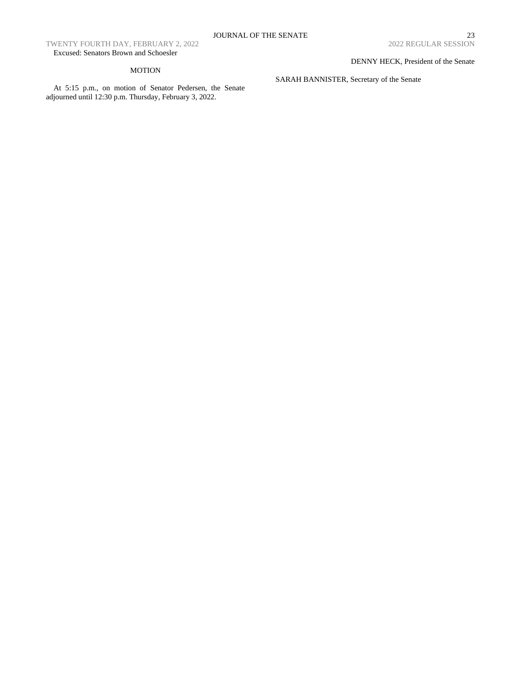TWENTY FOURTH DAY, FEBRUARY 2, 2022 Excused: Senators Brown and Schoesler

# MOTION

At 5:15 p.m., on motion of Senator Pedersen, the Senate adjourned until 12:30 p.m. Thursday, February 3, 2022.

DENNY HECK, President of the Senate

SARAH BANNISTER, Secretary of the Senate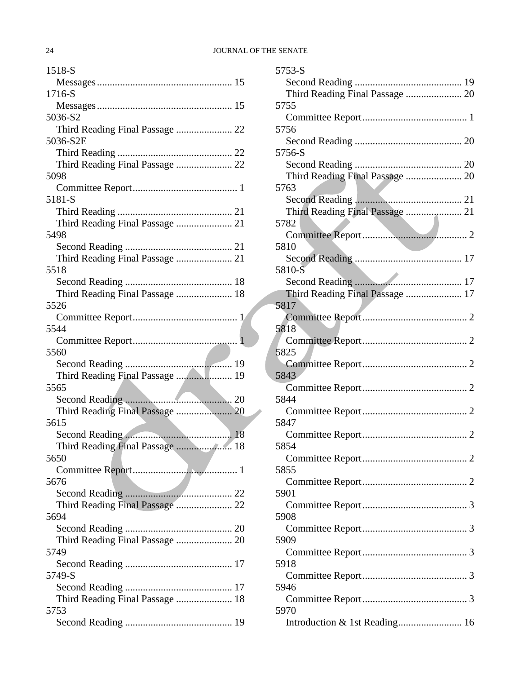| 1518-S                          |
|---------------------------------|
|                                 |
| 1716-S                          |
|                                 |
| 5036-S2                         |
|                                 |
| 5036-S2E                        |
|                                 |
|                                 |
| 5098                            |
|                                 |
| 5181-S                          |
|                                 |
|                                 |
| 5498                            |
|                                 |
|                                 |
| 5518                            |
|                                 |
| Third Reading Final Passage  18 |
| 5526                            |
|                                 |
| 5544                            |
|                                 |
| 5560                            |
|                                 |
| Third Reading Final Passage  19 |
| 5565                            |
|                                 |
|                                 |
| 5615                            |
|                                 |
| Third Reading Final Passage  18 |
| 5650                            |
| 5676                            |
|                                 |
| Third Reading Final Passage  22 |
| 5694                            |
|                                 |
| Third Reading Final Passage  20 |
| 5749                            |
|                                 |
| 5749-S                          |
|                                 |
| Third Reading Final Passage  18 |
| 5753                            |
|                                 |
|                                 |

| 5753-S                          |  |
|---------------------------------|--|
|                                 |  |
| Third Reading Final Passage  20 |  |
| 5755                            |  |
|                                 |  |
| 5756                            |  |
|                                 |  |
| 5756-S                          |  |
|                                 |  |
| Third Reading Final Passage  20 |  |
| 5763                            |  |
| Third Reading Final Passage  21 |  |
| 5782                            |  |
|                                 |  |
| 5810                            |  |
|                                 |  |
| 5810-S                          |  |
|                                 |  |
| Third Reading Final Passage  17 |  |
| 5817                            |  |
|                                 |  |
| 5818                            |  |
|                                 |  |
| 5825                            |  |
| 5843                            |  |
|                                 |  |
| 5844                            |  |
|                                 |  |
| 5847                            |  |
|                                 |  |
| 5854                            |  |
|                                 |  |
| 5855                            |  |
|                                 |  |
| 5901                            |  |
|                                 |  |
| 5908                            |  |
| 5909                            |  |
|                                 |  |
| 5918                            |  |
|                                 |  |
| 5946                            |  |
|                                 |  |
| 5970                            |  |
| Introduction & 1st Reading 16   |  |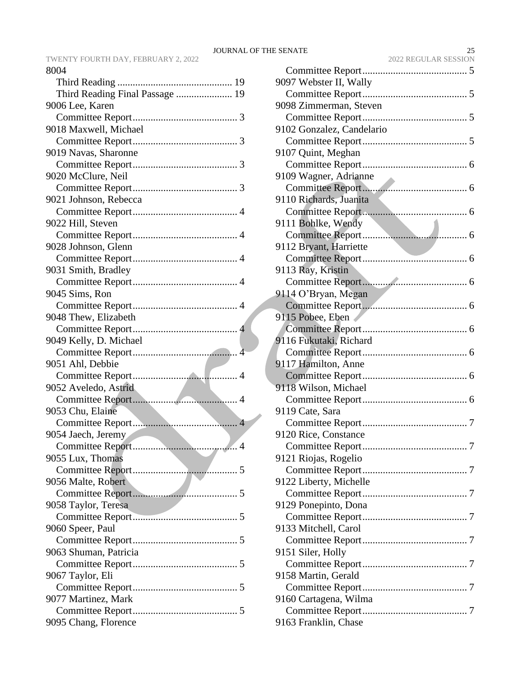TWENTY FOURTH DAY, FEBRUARY 2, 2022 8004

| Third Reading Final Passage  19 |
|---------------------------------|
| 9006 Lee, Karen                 |
|                                 |
| 9018 Maxwell, Michael           |
|                                 |
| 9019 Navas, Sharonne            |
|                                 |
| 9020 McClure, Neil              |
|                                 |
| 9021 Johnson, Rebecca           |
|                                 |
| 9022 Hill, Steven               |
|                                 |
| 9028 Johnson, Glenn             |
|                                 |
| 9031 Smith, Bradley             |
|                                 |
| 9045 Sims, Ron                  |
|                                 |
| 9048 Thew, Elizabeth            |
|                                 |
| 9049 Kelly, D. Michael          |
|                                 |
|                                 |
| 9051 Ahl, Debbie                |
|                                 |
| 9052 Aveledo, Astrid            |
|                                 |
| 9053 Chu, Elaine                |
|                                 |
| 9054 Jaech, Jeremy              |
|                                 |
| 9055 Lux, Thomas                |
|                                 |
| 9056 Malte, Robert              |
|                                 |
| 9058 Taylor, Teresa             |
|                                 |
| 9060 Speer, Paul                |
|                                 |
| 9063 Shuman, Patricia           |
|                                 |
| 9067 Taylor, Eli                |
|                                 |
| 9077 Martinez, Mark             |
| 9095 Chang, Florence            |

| 9097 Webster II, Wally    |
|---------------------------|
|                           |
| 9098 Zimmerman, Steven    |
|                           |
| 9102 Gonzalez, Candelario |
|                           |
| 9107 Quint, Meghan        |
|                           |
| 9109 Wagner, Adrianne     |
|                           |
| 9110 Richards, Juanita    |
|                           |
| 9111 Bohlke, Wendy        |
|                           |
| 9112 Bryant, Harriette    |
|                           |
| 9113 Ray, Kristin         |
|                           |
|                           |
| 9114 O'Bryan, Megan       |
|                           |
| 9115 Pobee, Eben          |
|                           |
| 9116 Fukutaki, Richard    |
|                           |
| 9117 Hamilton, Anne       |
|                           |
| 9118 Wilson, Michael      |
|                           |
| 9119 Cate, Sara           |
|                           |
| 9120 Rice, Constance      |
| 7                         |
| 9121 Riojas, Rogelio      |
|                           |
| 9122 Liberty, Michelle    |
|                           |
| 9129 Ponepinto, Dona      |
|                           |
| 9133 Mitchell, Carol      |
|                           |
| 9151 Siler, Holly         |
|                           |
| 9158 Martin, Gerald       |
|                           |
| 9160 Cartagena, Wilma     |
|                           |
| 9163 Franklin, Chase      |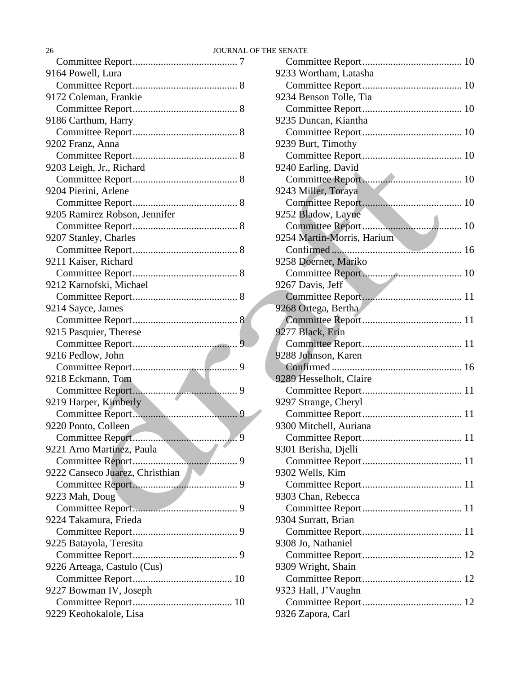| 9164 Powell, Lura               |  |
|---------------------------------|--|
|                                 |  |
| 9172 Coleman, Frankie           |  |
|                                 |  |
| 9186 Carthum, Harry             |  |
|                                 |  |
| 9202 Franz, Anna                |  |
|                                 |  |
| 9203 Leigh, Jr., Richard        |  |
|                                 |  |
| 9204 Pierini, Arlene            |  |
|                                 |  |
| 9205 Ramirez Robson, Jennifer   |  |
|                                 |  |
| 9207 Stanley, Charles           |  |
|                                 |  |
| 9211 Kaiser, Richard            |  |
|                                 |  |
| 9212 Karnofski, Michael         |  |
|                                 |  |
|                                 |  |
| 9214 Sayce, James               |  |
|                                 |  |
| 9215 Pasquier, Therese          |  |
|                                 |  |
| 9216 Pedlow, John               |  |
|                                 |  |
| 9218 Eckmann, Tom               |  |
|                                 |  |
| 9219 Harper, Kimberly           |  |
| 9                               |  |
| 9220 Ponto, Colleen<br>a ka     |  |
| $\overline{9}$                  |  |
| 9221 Arno Martinez, Paula       |  |
|                                 |  |
| 9222 Canseco Juarez, Christhian |  |
|                                 |  |
| 9223 Mah, Doug                  |  |
|                                 |  |
| 9224 Takamura, Frieda           |  |
|                                 |  |
| 9225 Batayola, Teresita         |  |
|                                 |  |
| 9226 Arteaga, Castulo (Cus)     |  |
|                                 |  |
| 9227 Bowman IV, Joseph          |  |
|                                 |  |
| 9229 Keohokalole, Lisa          |  |
|                                 |  |

| 9233 Wortham, Latasha      |
|----------------------------|
|                            |
| 9234 Benson Tolle, Tia     |
|                            |
| 9235 Duncan, Kiantha       |
|                            |
| 9239 Burt, Timothy         |
|                            |
| 9240 Earling, David        |
|                            |
| 9243 Miller, Toraya        |
|                            |
| 9252 Bladow, Layne         |
|                            |
| 9254 Martin-Morris, Harium |
|                            |
| 9258 Doerner, Mariko       |
|                            |
| 9267 Davis, Jeff           |
|                            |
| 9268 Ortega, Bertha        |
|                            |
| 9277 Black, Erin           |
|                            |
| 9288 Johnson, Karen        |
|                            |
| 9289 Hesselholt, Claire    |
|                            |
| 9297 Strange, Cheryl       |
|                            |
| 9300 Mitchell, Auriana     |
|                            |
| 9301 Berisha, Djelli       |
|                            |
| 9302 Wells, Kim            |
|                            |
| 9303 Chan, Rebecca         |
|                            |
| 9304 Surratt, Brian        |
|                            |
| 9308 Jo, Nathaniel         |
|                            |
| 9309 Wright, Shain         |
|                            |
| 9323 Hall, J'Vaughn        |
|                            |
| 9326 Zapora, Carl          |
|                            |